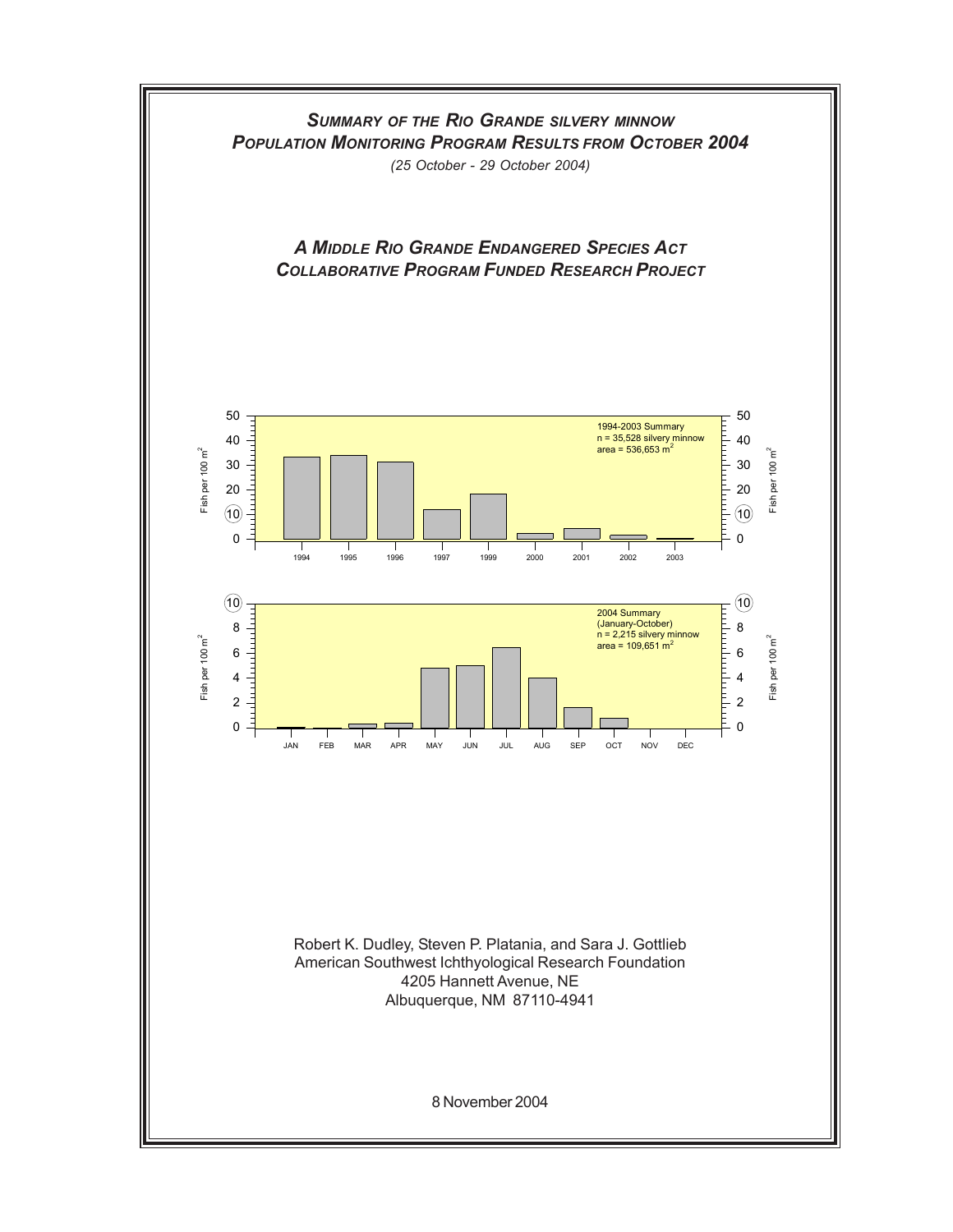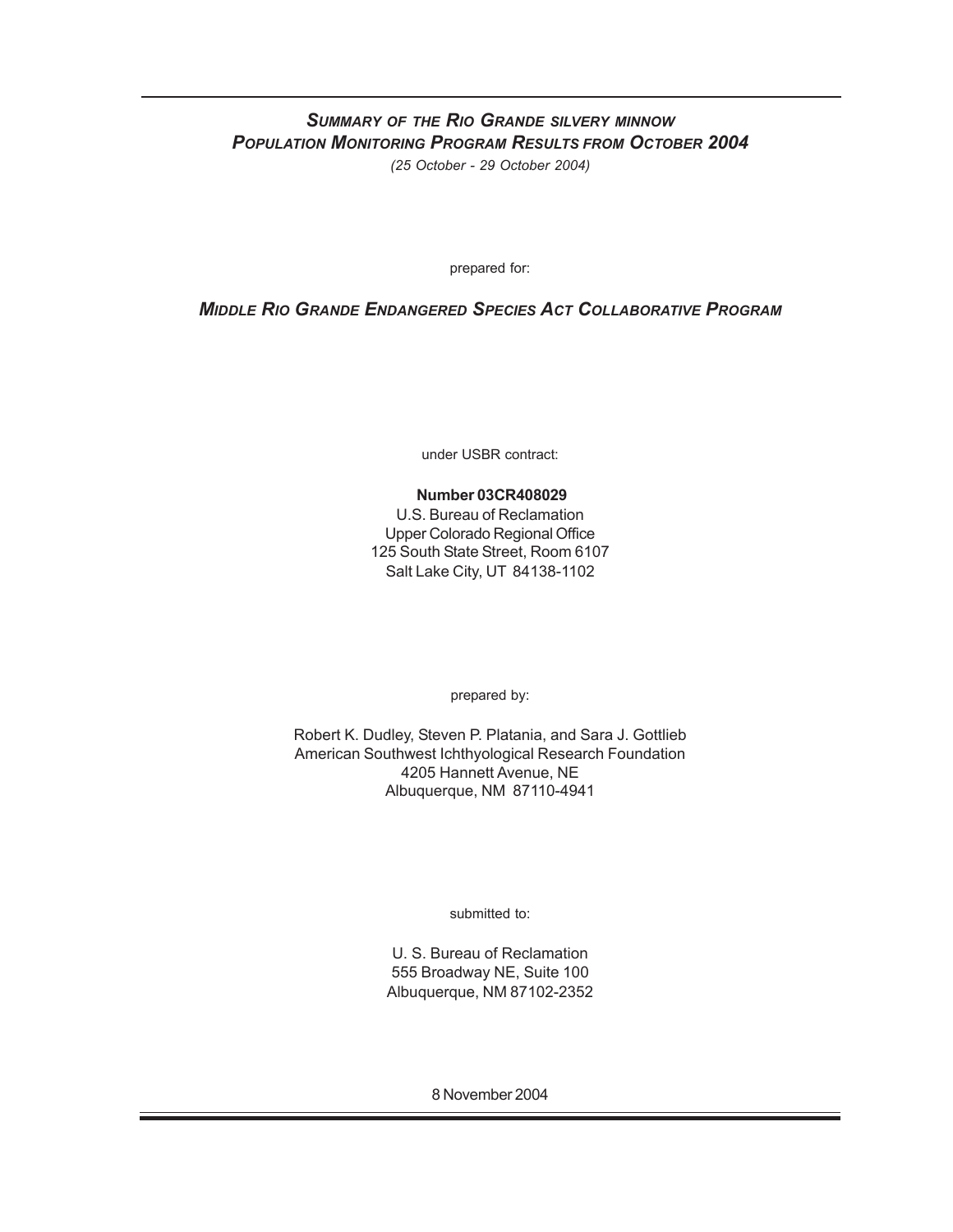# *SUMMARY OF THE RIO GRANDE SILVERY MINNOW POPULATION MONITORING PROGRAM RESULTS FROM OCTOBER 2004*

*(25 October - 29 October 2004)*

prepared for:

### *MIDDLE RIO GRANDE ENDANGERED SPECIES ACT COLLABORATIVE PROGRAM*

under USBR contract:

#### **Number 03CR408029**

U.S. Bureau of Reclamation Upper Colorado Regional Office 125 South State Street, Room 6107 Salt Lake City, UT 84138-1102

prepared by:

Robert K. Dudley, Steven P. Platania, and Sara J. Gottlieb American Southwest Ichthyological Research Foundation 4205 Hannett Avenue, NE Albuquerque, NM 87110-4941

submitted to:

U. S. Bureau of Reclamation 555 Broadway NE, Suite 100 Albuquerque, NM 87102-2352

8 November 2004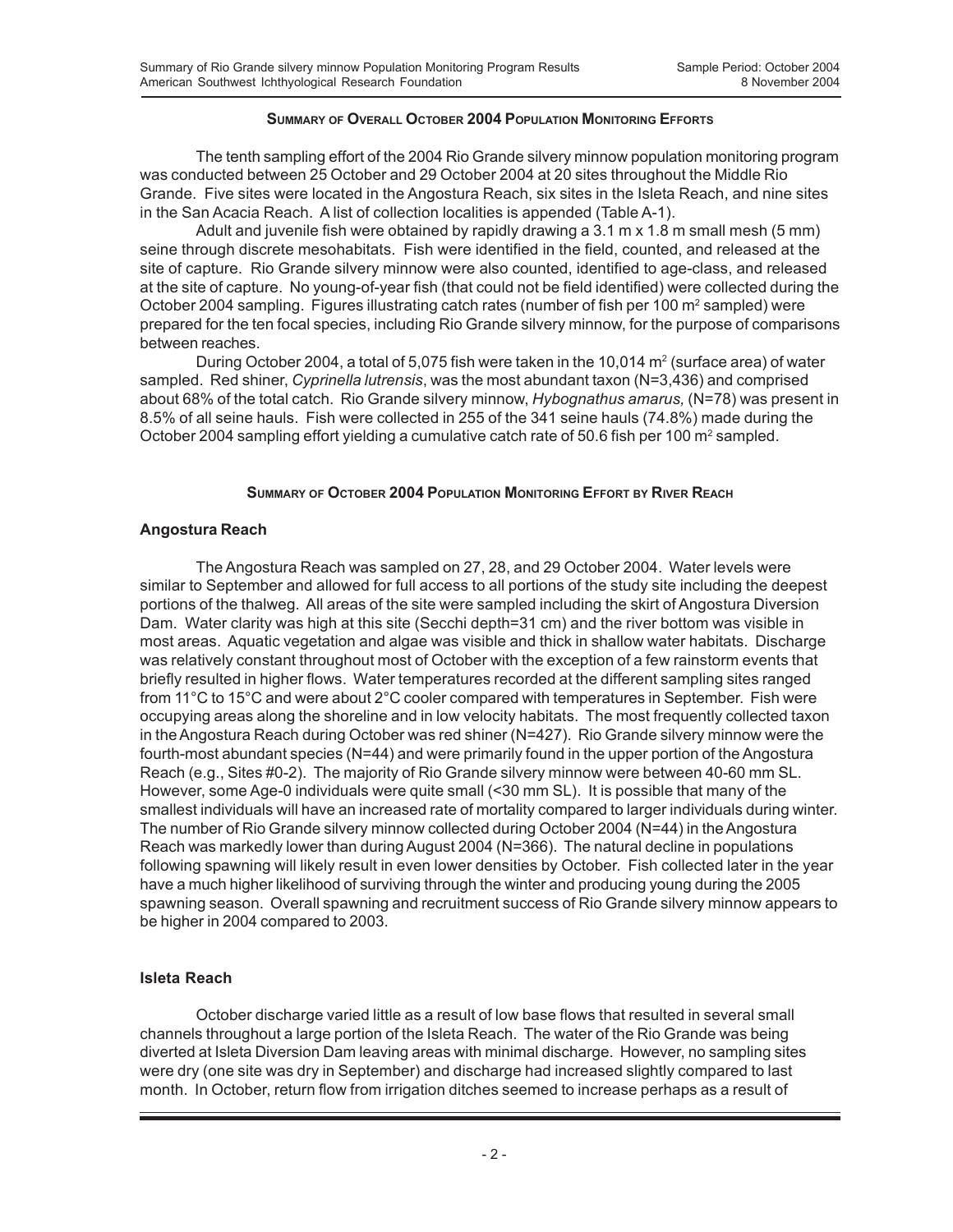#### **SUMMARY OF OVERALL OCTOBER 2004 POPULATION MONITORING EFFORTS**

The tenth sampling effort of the 2004 Rio Grande silvery minnow population monitoring program was conducted between 25 October and 29 October 2004 at 20 sites throughout the Middle Rio Grande. Five sites were located in the Angostura Reach, six sites in the Isleta Reach, and nine sites in the San Acacia Reach. A list of collection localities is appended (Table A-1).

Adult and juvenile fish were obtained by rapidly drawing a 3.1 m x 1.8 m small mesh (5 mm) seine through discrete mesohabitats. Fish were identified in the field, counted, and released at the site of capture. Rio Grande silvery minnow were also counted, identified to age-class, and released at the site of capture. No young-of-year fish (that could not be field identified) were collected during the October 2004 sampling. Figures illustrating catch rates (number of fish per 100 m<sup>2</sup> sampled) were prepared for the ten focal species, including Rio Grande silvery minnow, for the purpose of comparisons between reaches.

During October 2004, a total of 5,075 fish were taken in the 10,014 m<sup>2</sup> (surface area) of water sampled. Red shiner, *Cyprinella lutrensis*, was the most abundant taxon (N=3,436) and comprised about 68% of the total catch. Rio Grande silvery minnow, *Hybognathus amarus,* (N=78) was present in 8.5% of all seine hauls. Fish were collected in 255 of the 341 seine hauls (74.8%) made during the October 2004 sampling effort yielding a cumulative catch rate of 50.6 fish per 100 m<sup>2</sup> sampled.

#### **SUMMARY OF OCTOBER 2004 POPULATION MONITORING EFFORT BY RIVER REACH**

#### **Angostura Reach**

The Angostura Reach was sampled on 27, 28, and 29 October 2004. Water levels were similar to September and allowed for full access to all portions of the study site including the deepest portions of the thalweg. All areas of the site were sampled including the skirt of Angostura Diversion Dam. Water clarity was high at this site (Secchi depth=31 cm) and the river bottom was visible in most areas. Aquatic vegetation and algae was visible and thick in shallow water habitats. Discharge was relatively constant throughout most of October with the exception of a few rainstorm events that briefly resulted in higher flows. Water temperatures recorded at the different sampling sites ranged from 11°C to 15°C and were about 2°C cooler compared with temperatures in September. Fish were occupying areas along the shoreline and in low velocity habitats. The most frequently collected taxon in the Angostura Reach during October was red shiner (N=427). Rio Grande silvery minnow were the fourth-most abundant species (N=44) and were primarily found in the upper portion of the Angostura Reach (e.g., Sites #0-2). The majority of Rio Grande silvery minnow were between 40-60 mm SL. However, some Age-0 individuals were quite small (<30 mm SL). It is possible that many of the smallest individuals will have an increased rate of mortality compared to larger individuals during winter. The number of Rio Grande silvery minnow collected during October 2004 (N=44) in the Angostura Reach was markedly lower than during August 2004 (N=366). The natural decline in populations following spawning will likely result in even lower densities by October. Fish collected later in the year have a much higher likelihood of surviving through the winter and producing young during the 2005 spawning season. Overall spawning and recruitment success of Rio Grande silvery minnow appears to be higher in 2004 compared to 2003.

#### **Isleta Reach**

October discharge varied little as a result of low base flows that resulted in several small channels throughout a large portion of the Isleta Reach. The water of the Rio Grande was being diverted at Isleta Diversion Dam leaving areas with minimal discharge. However, no sampling sites were dry (one site was dry in September) and discharge had increased slightly compared to last month. In October, return flow from irrigation ditches seemed to increase perhaps as a result of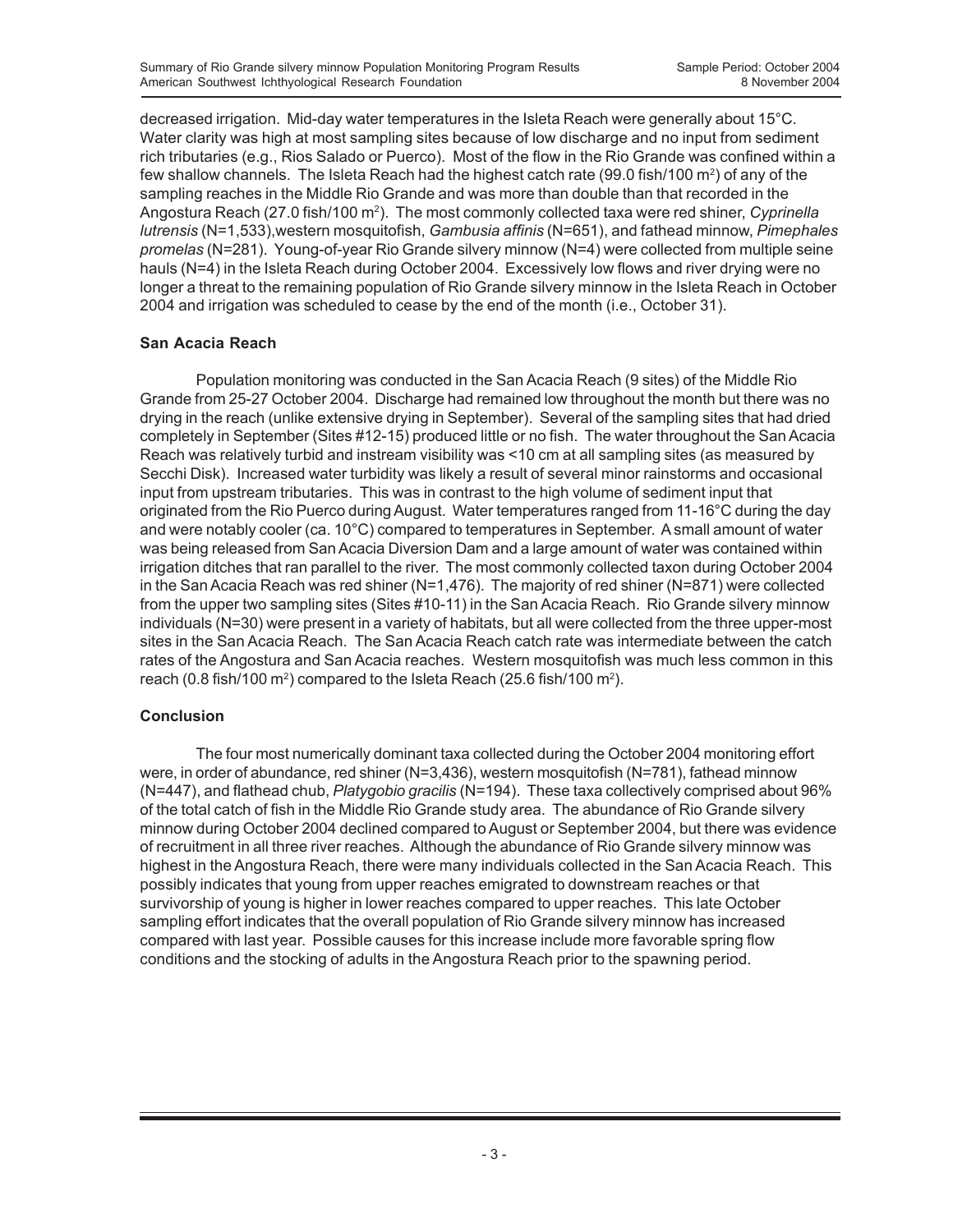decreased irrigation. Mid-day water temperatures in the Isleta Reach were generally about 15°C. Water clarity was high at most sampling sites because of low discharge and no input from sediment rich tributaries (e.g., Rios Salado or Puerco). Most of the flow in the Rio Grande was confined within a few shallow channels. The Isleta Reach had the highest catch rate (99.0 fish/100  $\text{m}^2$ ) of any of the sampling reaches in the Middle Rio Grande and was more than double than that recorded in the Angostura Reach (27.0 fish/100 m<sup>2</sup>). The most commonly collected taxa were red shiner, *Cyprinella lutrensis* (N=1,533),western mosquitofish, *Gambusia affinis* (N=651), and fathead minnow, *Pimephales promelas* (N=281). Young-of-year Rio Grande silvery minnow (N=4) were collected from multiple seine hauls (N=4) in the Isleta Reach during October 2004. Excessively low flows and river drying were no longer a threat to the remaining population of Rio Grande silvery minnow in the Isleta Reach in October 2004 and irrigation was scheduled to cease by the end of the month (i.e., October 31).

#### **San Acacia Reach**

Population monitoring was conducted in the San Acacia Reach (9 sites) of the Middle Rio Grande from 25-27 October 2004. Discharge had remained low throughout the month but there was no drying in the reach (unlike extensive drying in September). Several of the sampling sites that had dried completely in September (Sites #12-15) produced little or no fish. The water throughout the San Acacia Reach was relatively turbid and instream visibility was <10 cm at all sampling sites (as measured by Secchi Disk). Increased water turbidity was likely a result of several minor rainstorms and occasional input from upstream tributaries. This was in contrast to the high volume of sediment input that originated from the Rio Puerco during August. Water temperatures ranged from 11-16°C during the day and were notably cooler (ca. 10°C) compared to temperatures in September. A small amount of water was being released from San Acacia Diversion Dam and a large amount of water was contained within irrigation ditches that ran parallel to the river. The most commonly collected taxon during October 2004 in the San Acacia Reach was red shiner (N=1,476). The majority of red shiner (N=871) were collected from the upper two sampling sites (Sites #10-11) in the San Acacia Reach. Rio Grande silvery minnow individuals (N=30) were present in a variety of habitats, but all were collected from the three upper-most sites in the San Acacia Reach. The San Acacia Reach catch rate was intermediate between the catch rates of the Angostura and San Acacia reaches. Western mosquitofish was much less common in this reach (0.8 fish/100 m<sup>2</sup>) compared to the Isleta Reach (25.6 fish/100 m<sup>2</sup>).

### **Conclusion**

The four most numerically dominant taxa collected during the October 2004 monitoring effort were, in order of abundance, red shiner (N=3,436), western mosquitofish (N=781), fathead minnow (N=447), and flathead chub, *Platygobio gracilis* (N=194). These taxa collectively comprised about 96% of the total catch of fish in the Middle Rio Grande study area. The abundance of Rio Grande silvery minnow during October 2004 declined compared to August or September 2004, but there was evidence of recruitment in all three river reaches. Although the abundance of Rio Grande silvery minnow was highest in the Angostura Reach, there were many individuals collected in the San Acacia Reach. This possibly indicates that young from upper reaches emigrated to downstream reaches or that survivorship of young is higher in lower reaches compared to upper reaches. This late October sampling effort indicates that the overall population of Rio Grande silvery minnow has increased compared with last year. Possible causes for this increase include more favorable spring flow conditions and the stocking of adults in the Angostura Reach prior to the spawning period.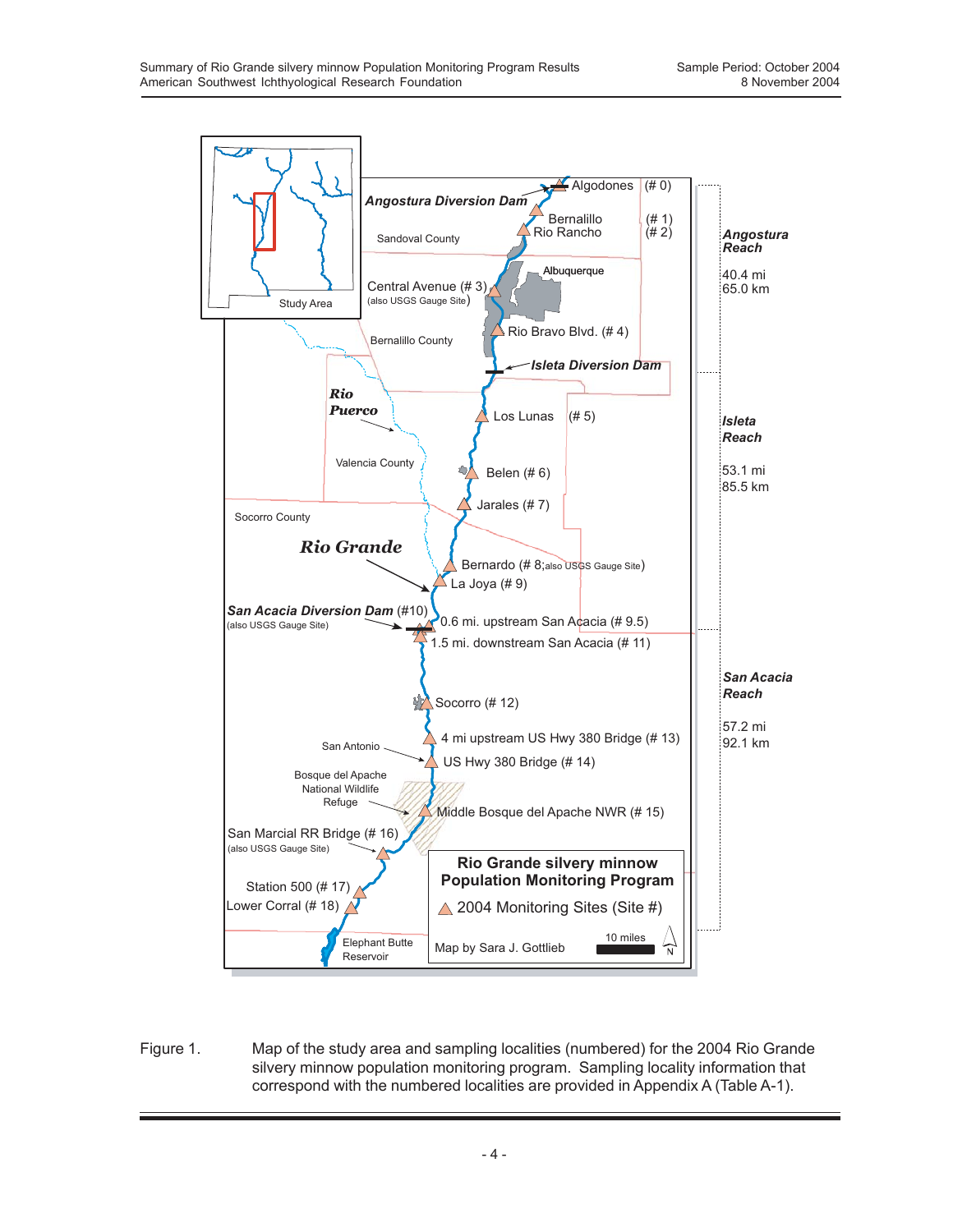

Figure 1. Map of the study area and sampling localities (numbered) for the 2004 Rio Grande silvery minnow population monitoring program. Sampling locality information that correspond with the numbered localities are provided in Appendix A (Table A-1).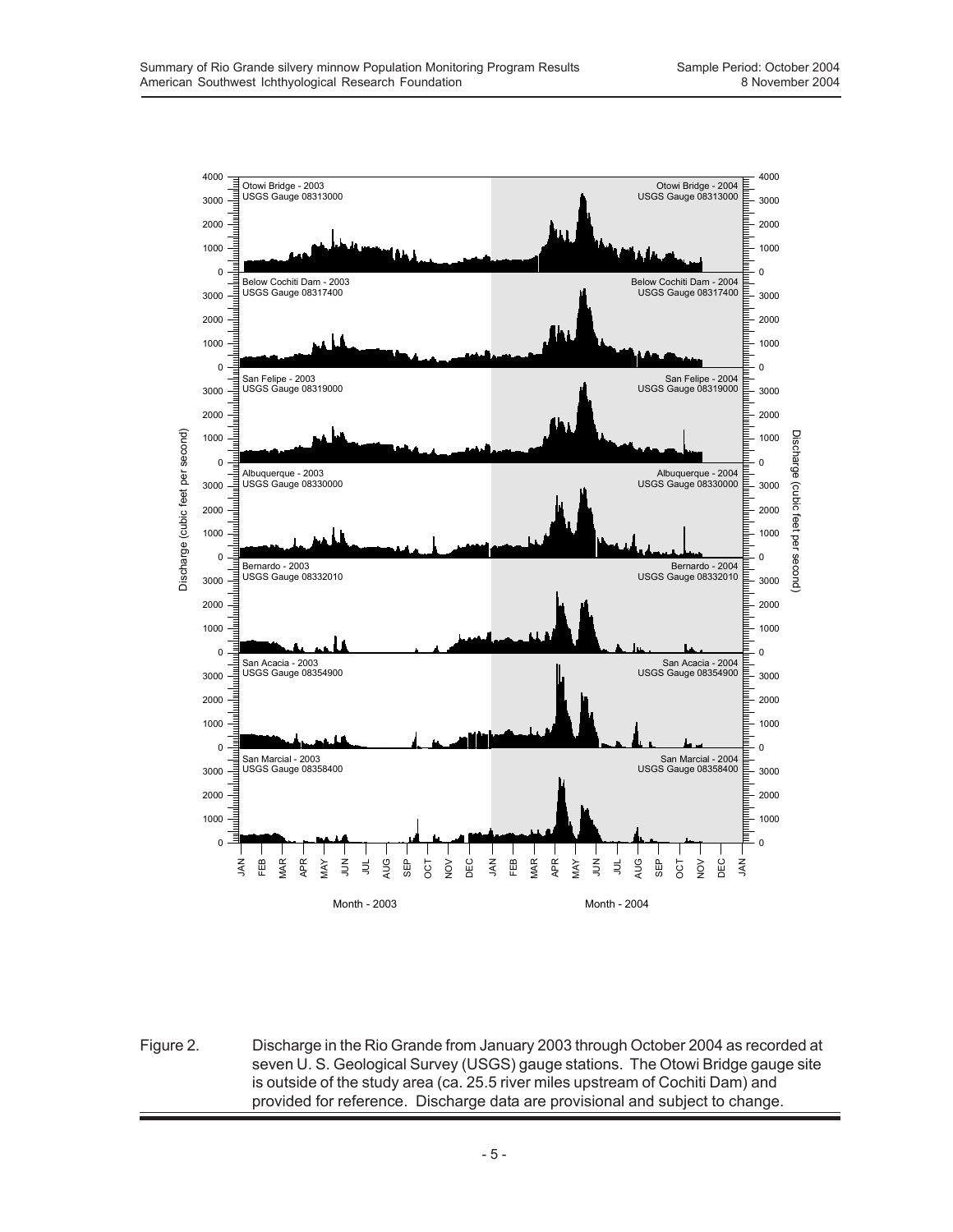

Figure 2. Discharge in the Rio Grande from January 2003 through October 2004 as recorded at seven U. S. Geological Survey (USGS) gauge stations. The Otowi Bridge gauge site is outside of the study area (ca. 25.5 river miles upstream of Cochiti Dam) and provided for reference. Discharge data are provisional and subject to change.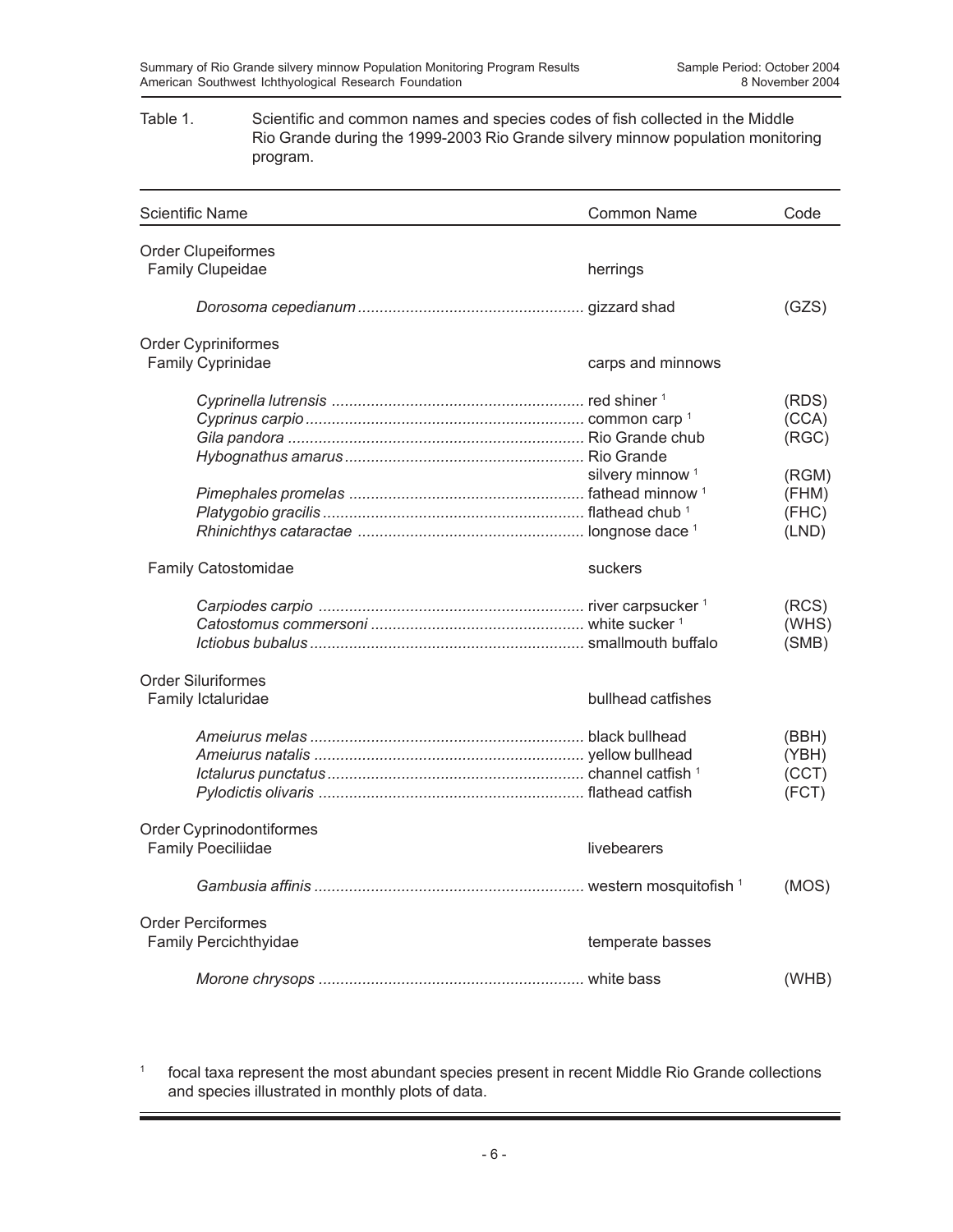#### Table 1. Scientific and common names and species codes of fish collected in the Middle Rio Grande during the 1999-2003 Rio Grande silvery minnow population monitoring program.

| <b>Scientific Name</b>    | Common Name                 | Code  |
|---------------------------|-----------------------------|-------|
| <b>Order Clupeiformes</b> |                             |       |
| Family Clupeidae          | herrings                    |       |
|                           |                             | (GZS) |
| Order Cypriniformes       |                             |       |
| Family Cyprinidae         | carps and minnows           |       |
|                           |                             | (RDS) |
|                           |                             | (CCA) |
|                           |                             | (RGC) |
|                           |                             |       |
|                           | silvery minnow <sup>1</sup> | (RGM) |
|                           |                             | (FHM) |
|                           |                             | (FHC) |
|                           |                             | (LND) |
|                           |                             |       |
| Family Catostomidae       | suckers                     |       |
|                           |                             | (RCS) |
|                           |                             | (WHS) |
|                           |                             | (SMB) |
|                           |                             |       |
| <b>Order Siluriformes</b> |                             |       |
| Family Ictaluridae        | bullhead catfishes          |       |
|                           |                             | (BBH) |
|                           |                             | (YBH) |
|                           |                             | (CCT) |
|                           |                             | (FCT) |
|                           |                             |       |
| Order Cyprinodontiformes  |                             |       |
| <b>Family Poeciliidae</b> | livebearers                 |       |
|                           |                             | (MOS) |
|                           |                             |       |
| <b>Order Perciformes</b>  |                             |       |
| Family Percichthyidae     | temperate basses            |       |
|                           |                             | (WHB) |

<sup>1</sup> focal taxa represent the most abundant species present in recent Middle Rio Grande collections and species illustrated in monthly plots of data.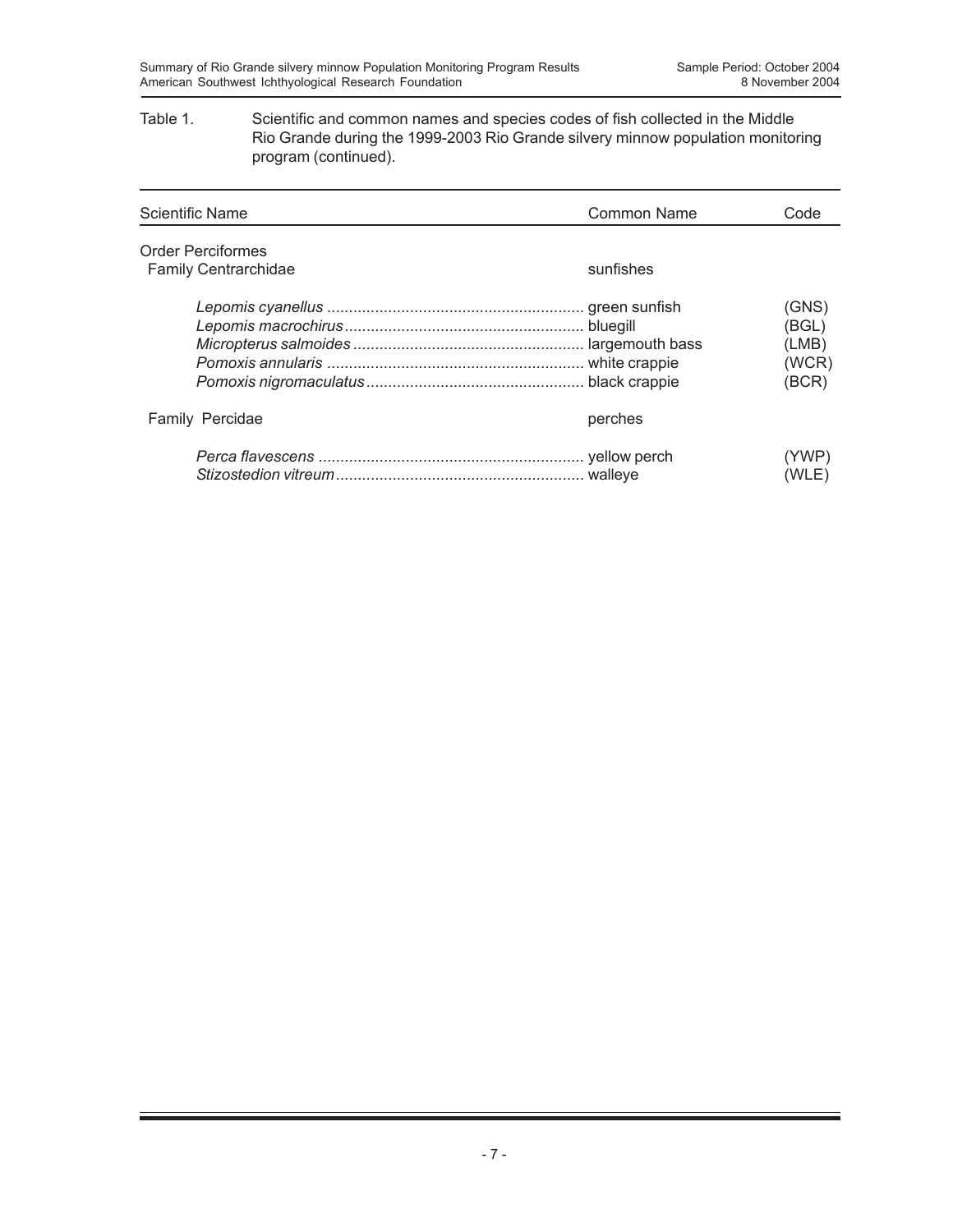#### Table 1. Scientific and common names and species codes of fish collected in the Middle Rio Grande during the 1999-2003 Rio Grande silvery minnow population monitoring program (continued).

| <b>Scientific Name</b>      | Common Name | Code                                      |
|-----------------------------|-------------|-------------------------------------------|
| <b>Order Perciformes</b>    |             |                                           |
| <b>Family Centrarchidae</b> | sunfishes   |                                           |
|                             | bluegill    | (GNS)<br>(BGL)<br>(LMB)<br>(WCR)<br>(BCR) |
| <b>Family Percidae</b>      | perches     |                                           |
|                             |             | (YWP)<br>(WLE)                            |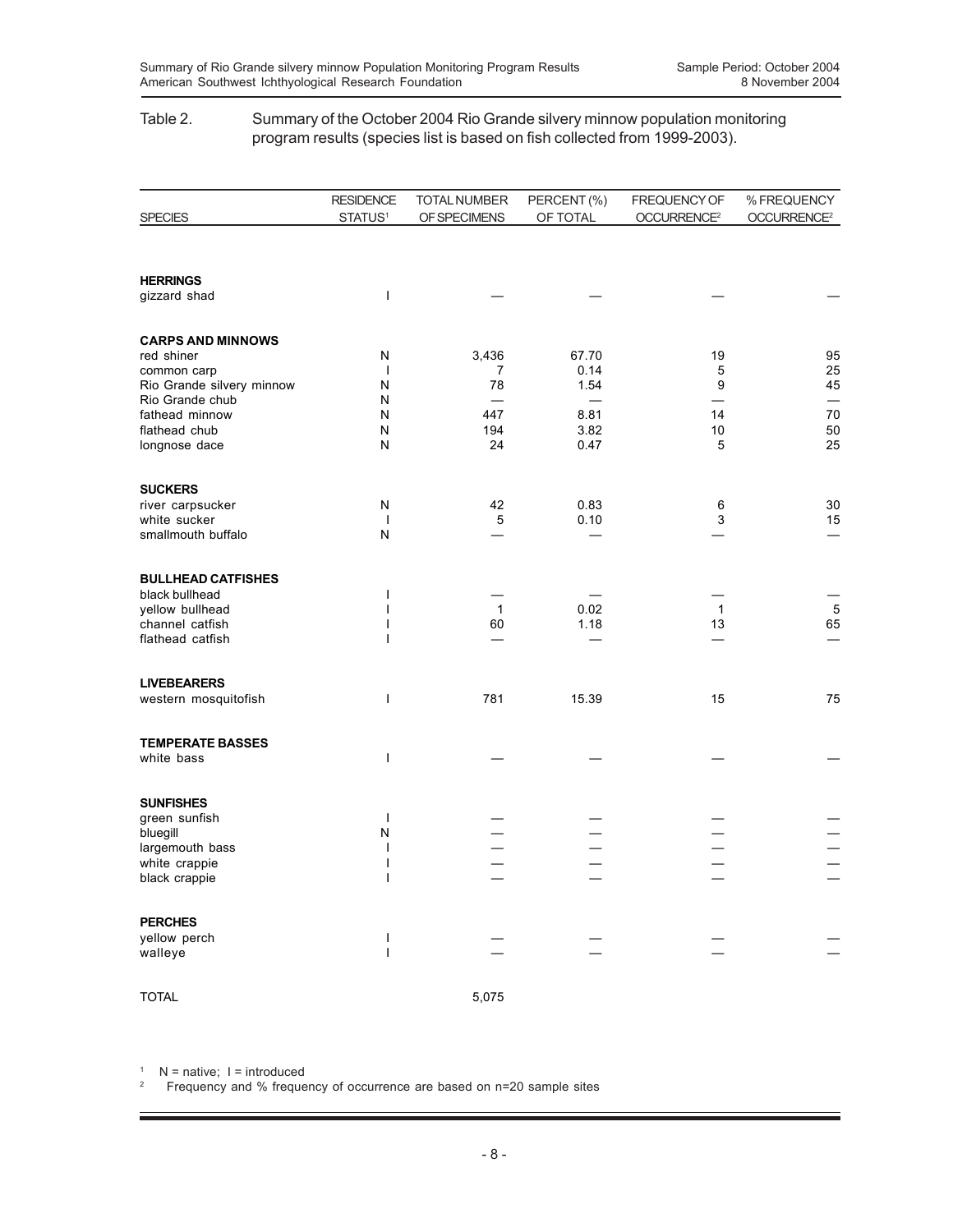#### Table 2. Summary of the October 2004 Rio Grande silvery minnow population monitoring program results (species list is based on fish collected from 1999-2003).

|                           | <b>RESIDENCE</b>    | TOTAL NUMBER | PERCENT (%) | FREQUENCY OF            | % FREQUENCY             |
|---------------------------|---------------------|--------------|-------------|-------------------------|-------------------------|
| <b>SPECIES</b>            | STATUS <sup>1</sup> | OF SPECIMENS | OF TOTAL    | OCCURRENCE <sup>2</sup> | OCCURRENCE <sup>2</sup> |
|                           |                     |              |             |                         |                         |
| <b>HERRINGS</b>           |                     |              |             |                         |                         |
| gizzard shad              | I                   |              |             |                         |                         |
| <b>CARPS AND MINNOWS</b>  |                     |              |             |                         |                         |
| red shiner                | N                   | 3,436        | 67.70       | 19                      | 95                      |
| common carp               | $\mathbf{I}$        | 7            | 0.14        | 5                       | 25                      |
| Rio Grande silvery minnow | N                   | 78           | 1.54        | 9                       | 45                      |
| Rio Grande chub           | N                   |              |             |                         |                         |
| fathead minnow            | N                   | 447          | 8.81        | 14                      | 70                      |
| flathead chub             | N                   | 194          | 3.82        | 10                      | 50                      |
| longnose dace             | N                   | 24           | 0.47        | 5                       | 25                      |
| <b>SUCKERS</b>            |                     |              |             |                         |                         |
| river carpsucker          | N                   | 42           | 0.83        | 6                       | 30                      |
| white sucker              | $\mathbf{I}$        | $\mathbf 5$  | 0.10        | 3                       | 15                      |
| smallmouth buffalo        | N                   |              |             |                         |                         |
| <b>BULLHEAD CATFISHES</b> |                     |              |             |                         |                         |
| black bullhead            | $\mathsf{l}$        |              |             |                         |                         |
| yellow bullhead           |                     | $\mathbf{1}$ | 0.02        | $\overline{1}$          | $\overline{5}$          |
| channel catfish           |                     | 60           | 1.18        | 13                      | 65                      |
| flathead catfish          |                     |              |             |                         |                         |
| <b>LIVEBEARERS</b>        |                     |              |             |                         |                         |
| western mosquitofish      | I                   | 781          | 15.39       | 15                      | 75                      |
|                           |                     |              |             |                         |                         |
| <b>TEMPERATE BASSES</b>   |                     |              |             |                         |                         |
| white bass                | I                   |              |             |                         |                         |
| <b>SUNFISHES</b>          |                     |              |             |                         |                         |
| green sunfish             | $\mathbf{I}$        |              |             |                         |                         |
| bluegill                  | N                   |              |             |                         |                         |
| largemouth bass           |                     |              |             |                         |                         |
| white crappie             |                     |              |             |                         |                         |
| black crappie             |                     |              |             |                         |                         |
| <b>PERCHES</b>            |                     |              |             |                         |                         |
| yellow perch              |                     |              |             |                         |                         |
| walleye                   |                     |              |             |                         |                         |
| <b>TOTAL</b>              |                     | 5,075        |             |                         |                         |
|                           |                     |              |             |                         |                         |

 $1$  N = native; I = introduced

2 Frequency and % frequency of occurrence are based on n=20 sample sites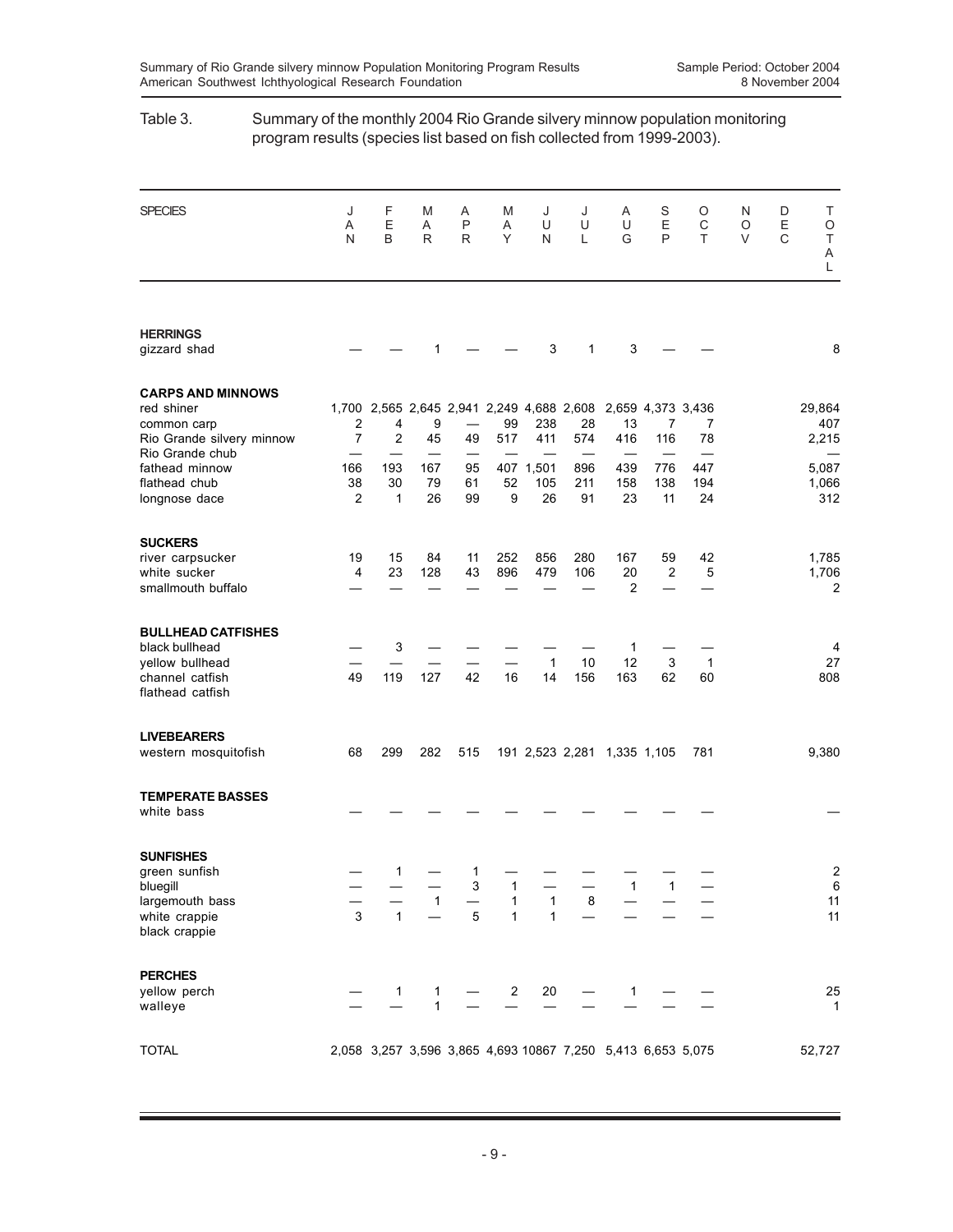# SPECIES J F M A M J J A S O N D T A EA P AUU UEC OE O NBRR YNL GPT VC T A L **HERRINGS**<br>gizzard shad gizzard shad — — 1 — — 3 1 3 — — 8 **CARPS AND MINNOWS** red shiner 1,700 2,565 2,645 2,941 2,249 4,688 2,608 2,659 4,373 3,436 29,864 common carp 2 4 9 — 99 238 28 13 7 7 407 Rio Grande silvery minnow 7 2 45 49 517 411 574 416 116 78 2,215 Rio Grande chub — —————— ——— fathead minnow 166 193 167 95 407 1,501 896 439 776 447<br>flathead chub 38 30 79 61 52 105 211 158 138 194 flathead chub 38 30 79 61 52 105 211 158 138 194 1,066 longnose dace 2 1 26 99 9 26 91 23 11 24 312 **SUCKERS** river carpsucker 19 15 84 11 252 856 280 167 59 42 1,785 white sucker 4 smallmouth buffalo  $2$   $2$ **BULLHEAD CATFISHES** black bullhead  $-3 - - - - - - 1 -$ yellow bullhead — — — — — 1 10 12 3 1 27 channel catfish 49 119 127 42 16 14 156 163 62 60 808 flathead catfish **LIVEBEARERS** western mosquitofish 68 299 282 515 191 2,523 2,281 1,335 1,105 781 9,380 **TEMPERATE BASSES** white bass — —————— ——— — **SUNFISHES** green sunfish  $-1 - 1 - - - - - - - -$ <br>
bluegill<br>  $3$   $1 - - 1$ <br>  $1$   $1$   $1$ <br>  $1$ <br>  $1$ <br>  $1$ <br>  $2$ <br>  $1$ bluegill — — — 3 1 — — 1 1 — 6  $\frac{2 \text{ rad}}{\text{length}}$  bass  $\frac{2 \text{ rad}}{\text{length}}$   $\frac{2 \text{ rad}}{\text{length}}$   $\frac{2 \text{ rad}}{\text{length}}$   $\frac{2 \text{ rad}}{\text{length}}$   $\frac{2 \text{ rad}}{\text{length}}$   $\frac{2 \text{ rad}}{\text{length}}$   $\frac{2 \text{ rad}}{\text{length}}$   $\frac{2 \text{ rad}}{\text{length}}$   $\frac{2 \text{ rad}}{\text{length}}$   $\frac{2 \text{ rad}}{\text{length}}$   $\frac{2 \text{ rad}}{\text{length}}$   $\frac{2 \text{ rad}}{\text$ white crappie  $\begin{array}{cccc} 3 & 1 & -1 \\ 1 & -1 & 5 \end{array}$  1 black crappie **PERCHES**<br>yellow perch yellow perch — 1 1 — 2 20 — 1 — — 25 walleye — 1 — — — — — — 1 TOTAL 2,058 3,257 3,596 3,865 4,693 10867 7,250 5,413 6,653 5,075 52,727

### Table 3. Summary of the monthly 2004 Rio Grande silvery minnow population monitoring program results (species list based on fish collected from 1999-2003).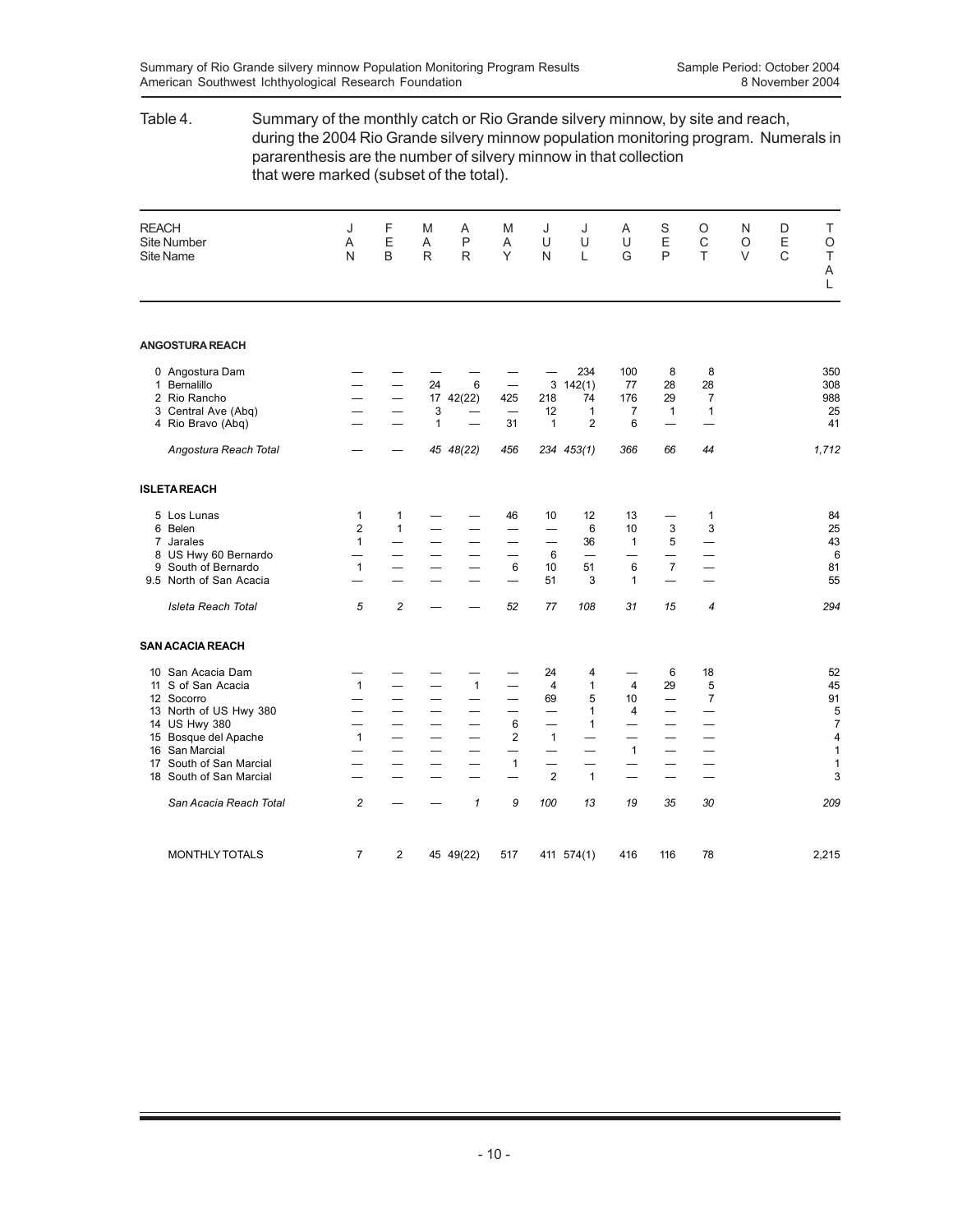# Table 4. Summary of the monthly catch or Rio Grande silvery minnow, by site and reach, during the 2004 Rio Grande silvery minnow population monitoring program. Numerals in pararenthesis are the number of silvery minnow in that collection that were marked (subset of the total).

| <b>REACH</b>                     | Site Number<br><b>Site Name</b>                                                                                                                                                                          | J<br>A<br>N                                             | F<br>E<br>B                                               | M<br>A<br>$\mathsf{R}$                                                                   | Α<br>P<br>$\mathsf{R}$                                                           | M<br>A<br>Y                                                                                                                       | J<br>U<br>N                                                                                                         | J<br>U<br>L                                                                                              | A<br>U<br>G                                                                      | S<br>E<br>P                                                                | O<br>$\mathsf C$<br>T                                                                   | N<br>$\circ$<br>$\vee$ | D<br>E<br>$\mathsf{C}$ | Τ<br>O<br>T<br>A<br>L                                                                                        |
|----------------------------------|----------------------------------------------------------------------------------------------------------------------------------------------------------------------------------------------------------|---------------------------------------------------------|-----------------------------------------------------------|------------------------------------------------------------------------------------------|----------------------------------------------------------------------------------|-----------------------------------------------------------------------------------------------------------------------------------|---------------------------------------------------------------------------------------------------------------------|----------------------------------------------------------------------------------------------------------|----------------------------------------------------------------------------------|----------------------------------------------------------------------------|-----------------------------------------------------------------------------------------|------------------------|------------------------|--------------------------------------------------------------------------------------------------------------|
|                                  | <b>ANGOSTURA REACH</b>                                                                                                                                                                                   |                                                         |                                                           |                                                                                          |                                                                                  |                                                                                                                                   |                                                                                                                     |                                                                                                          |                                                                                  |                                                                            |                                                                                         |                        |                        |                                                                                                              |
| 1                                | 0 Angostura Dam<br>Bernalillo<br>2 Rio Rancho<br>3 Central Ave (Abq)<br>4 Rio Bravo (Abq)                                                                                                                |                                                         | —<br>—                                                    | 24<br>3<br>$\mathbf{1}$                                                                  | 6<br>17 42(22)                                                                   | 425<br>31                                                                                                                         | 3<br>218<br>12<br>$\mathbf{1}$                                                                                      | 234<br>142(1)<br>74<br>$\mathbf{1}$<br>$\overline{2}$                                                    | 100<br>77<br>176<br>$\overline{7}$<br>6                                          | 8<br>28<br>29<br>$\mathbf{1}$<br>—                                         | 8<br>28<br>7<br>$\mathbf{1}$                                                            |                        |                        | 350<br>308<br>988<br>25<br>41                                                                                |
|                                  | Angostura Reach Total                                                                                                                                                                                    |                                                         |                                                           |                                                                                          | 45 48(22)                                                                        | 456                                                                                                                               |                                                                                                                     | 234 453(1)                                                                                               | 366                                                                              | 66                                                                         | 44                                                                                      |                        |                        | 1,712                                                                                                        |
|                                  | <b>ISLETAREACH</b>                                                                                                                                                                                       |                                                         |                                                           |                                                                                          |                                                                                  |                                                                                                                                   |                                                                                                                     |                                                                                                          |                                                                                  |                                                                            |                                                                                         |                        |                        |                                                                                                              |
|                                  | 5 Los Lunas<br>6 Belen<br>7 Jarales<br>8 US Hwy 60 Bernardo<br>9 South of Bernardo<br>9.5 North of San Acacia                                                                                            | 1<br>2<br>$\mathbf{1}$<br>$\mathbf{1}$                  | 1<br>$\mathbf{1}$<br>—<br>—<br>—                          | $\equiv$<br>—<br>$\equiv$                                                                | —<br>$\overline{\phantom{0}}$                                                    | 46<br>$\overline{\phantom{0}}$<br>—<br>$\equiv$<br>6<br>$\overline{\phantom{0}}$                                                  | 10<br>—<br>—<br>6<br>10<br>51                                                                                       | 12<br>6<br>36<br>$\equiv$<br>51<br>3                                                                     | 13<br>10<br>$\mathbf{1}$<br>—<br>6<br>$\mathbf{1}$                               | 3<br>5<br>$\overline{7}$                                                   | 1<br>3<br>—<br>-<br>$\sim$                                                              |                        |                        | 84<br>25<br>43<br>6<br>81<br>55                                                                              |
|                                  | Isleta Reach Total                                                                                                                                                                                       | 5                                                       | $\overline{c}$                                            |                                                                                          |                                                                                  | 52                                                                                                                                | 77                                                                                                                  | 108                                                                                                      | 31                                                                               | 15                                                                         | 4                                                                                       |                        |                        | 294                                                                                                          |
|                                  | <b>SAN ACACIA REACH</b>                                                                                                                                                                                  |                                                         |                                                           |                                                                                          |                                                                                  |                                                                                                                                   |                                                                                                                     |                                                                                                          |                                                                                  |                                                                            |                                                                                         |                        |                        |                                                                                                              |
| 10<br>11<br>13<br>15<br>16<br>17 | San Acacia Dam<br>S of San Acacia<br>12 Socorro<br>North of US Hwy 380<br>14 US Hwy 380<br>Bosque del Apache<br>San Marcial<br>South of San Marcial<br>18 South of San Marcial<br>San Acacia Reach Total | $\mathbf{1}$<br>$\mathbf{1}$<br>$\overline{\mathbf{c}}$ | $\overline{\phantom{0}}$<br>$\overline{\phantom{0}}$<br>— | —<br>$\overline{\phantom{0}}$<br>$\overline{\phantom{0}}$<br>—<br>$\qquad \qquad \qquad$ | $\mathbf{1}$<br>$\overline{\phantom{0}}$<br>$\equiv$<br>$\equiv$<br>$\mathbf{1}$ | $\overline{\phantom{0}}$<br>$\overline{\phantom{0}}$<br>6<br>$\overline{2}$<br>—<br>$\mathbf{1}$<br>$\overline{\phantom{0}}$<br>9 | 24<br>4<br>69<br>$\overline{\phantom{0}}$<br>$\overline{\phantom{0}}$<br>$\mathbf{1}$<br>—<br>$\overline{2}$<br>100 | 4<br>$\mathbf{1}$<br>5<br>$\mathbf{1}$<br>$\mathbf{1}$<br>$\overline{\phantom{0}}$<br>$\mathbf{1}$<br>13 | $\overline{4}$<br>10<br>4<br>$\overline{\phantom{0}}$<br>$\mathbf{1}$<br>—<br>19 | 6<br>29<br>$\overline{\phantom{0}}$<br>$\overline{\phantom{0}}$<br>—<br>35 | 18<br>5<br>$\overline{7}$<br>$\overline{\phantom{0}}$<br>$\overline{\phantom{0}}$<br>30 |                        |                        | 52<br>45<br>91<br>5<br>$\overline{7}$<br>$\overline{\mathbf{4}}$<br>$\mathbf{1}$<br>$\mathbf{1}$<br>3<br>209 |
|                                  | MONTHLY TOTALS                                                                                                                                                                                           | $\overline{7}$                                          | 2                                                         |                                                                                          | 45 49(22)                                                                        | 517                                                                                                                               |                                                                                                                     | 411 574(1)                                                                                               | 416                                                                              | 116                                                                        | 78                                                                                      |                        |                        | 2,215                                                                                                        |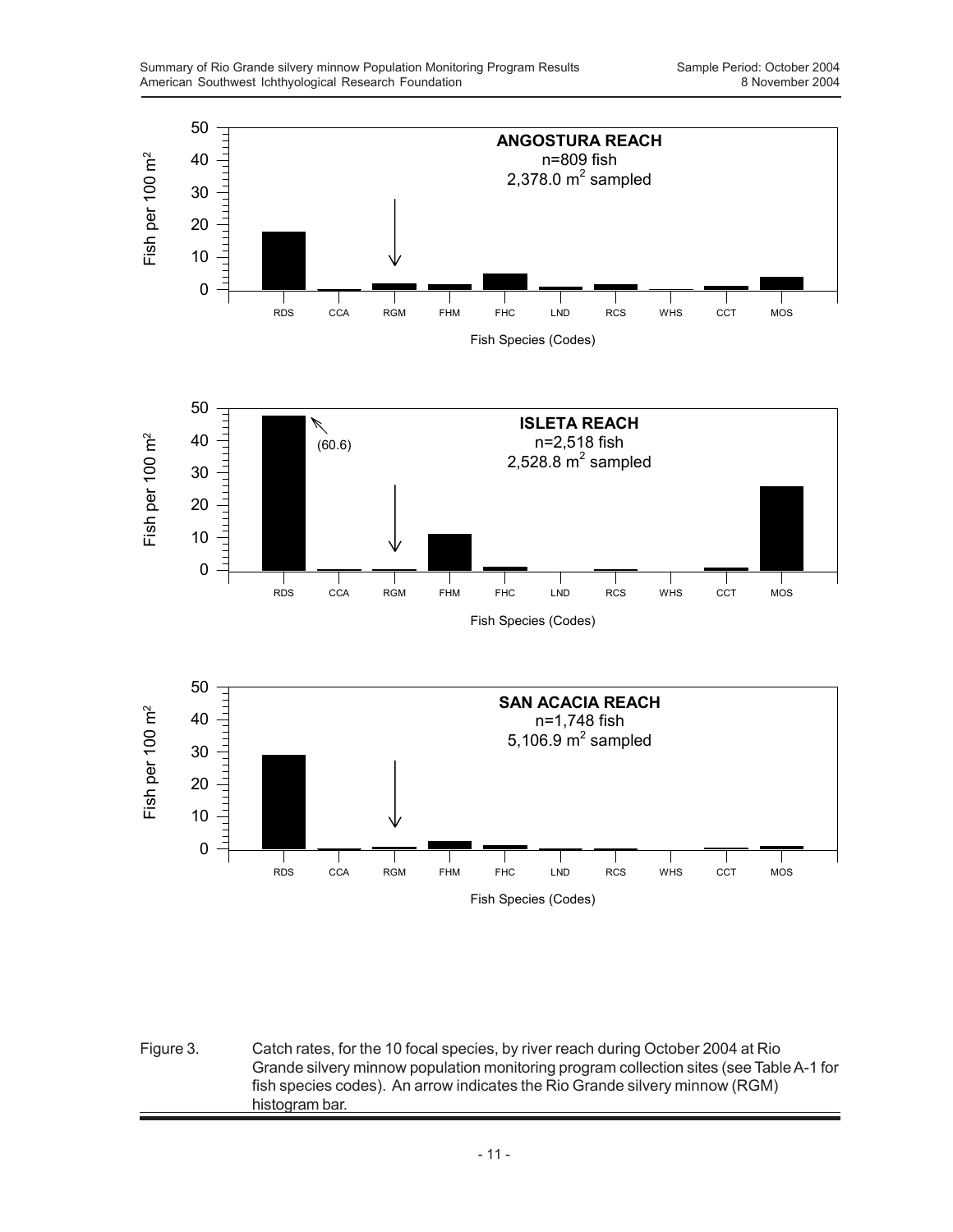

Figure 3. Catch rates, for the 10 focal species, by river reach during October 2004 at Rio Grande silvery minnow population monitoring program collection sites (see Table A-1 for fish species codes). An arrow indicates the Rio Grande silvery minnow (RGM) histogram bar.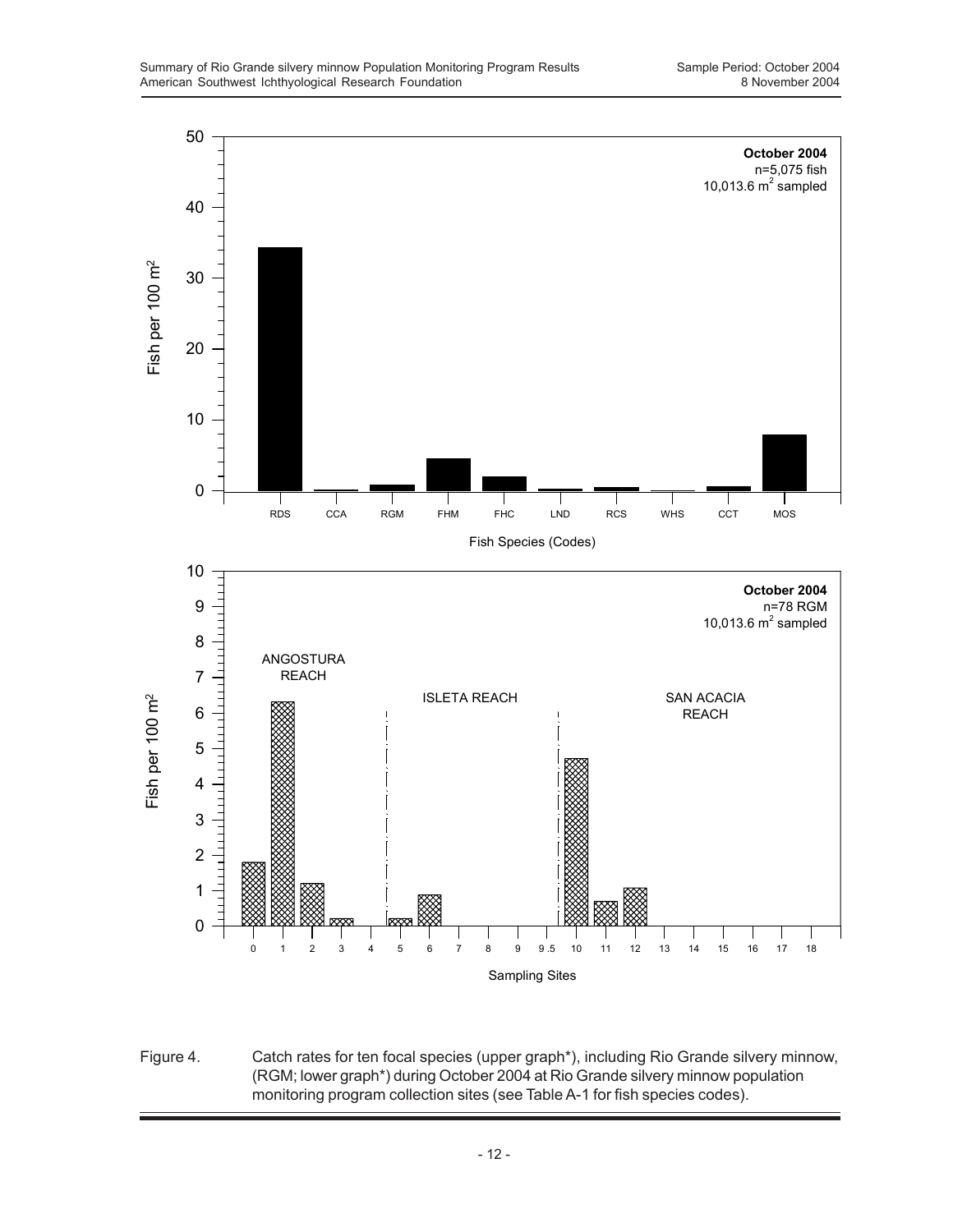

Figure 4. Catch rates for ten focal species (upper graph\*), including Rio Grande silvery minnow, (RGM; lower graph\*) during October 2004 at Rio Grande silvery minnow population monitoring program collection sites (see Table A-1 for fish species codes).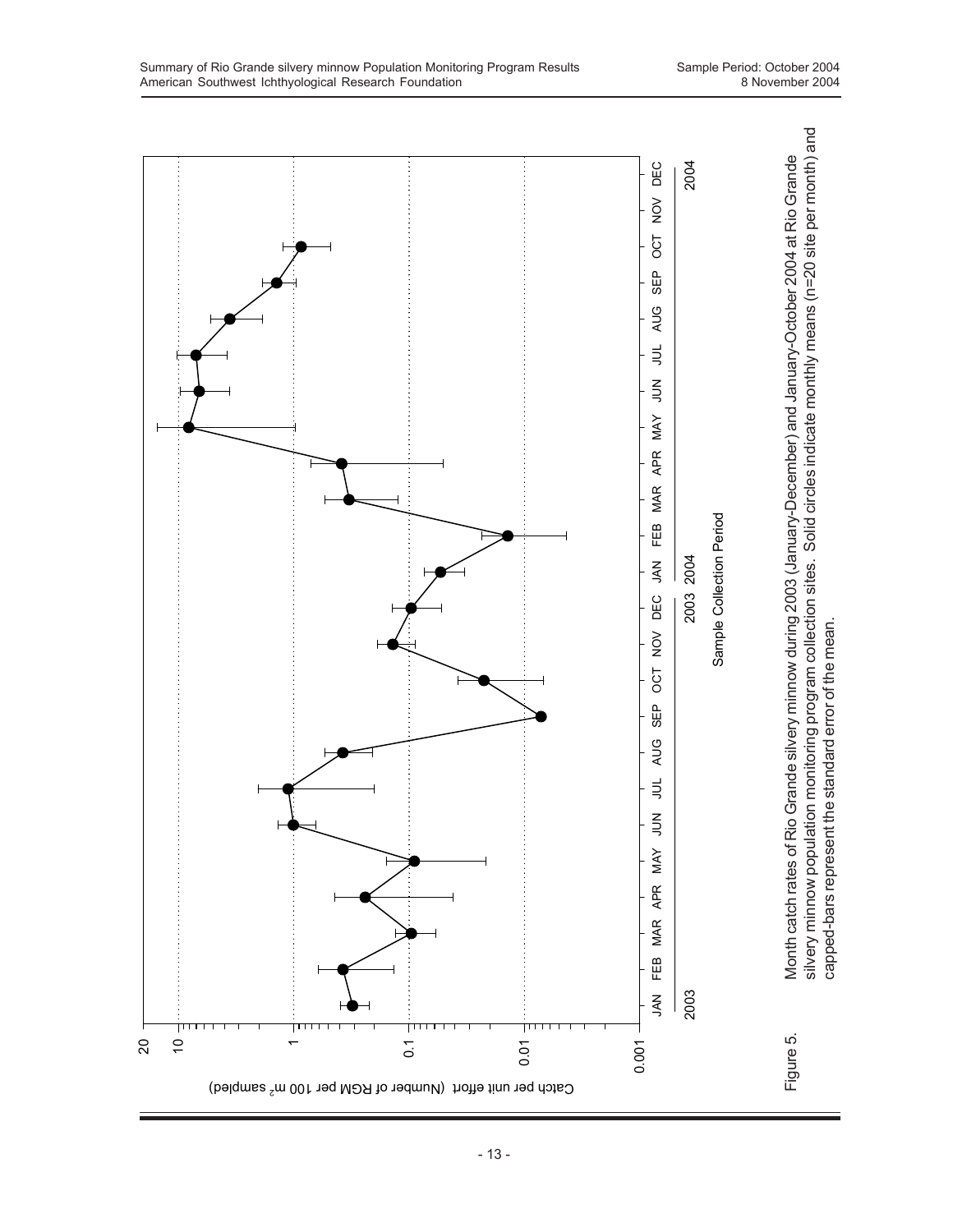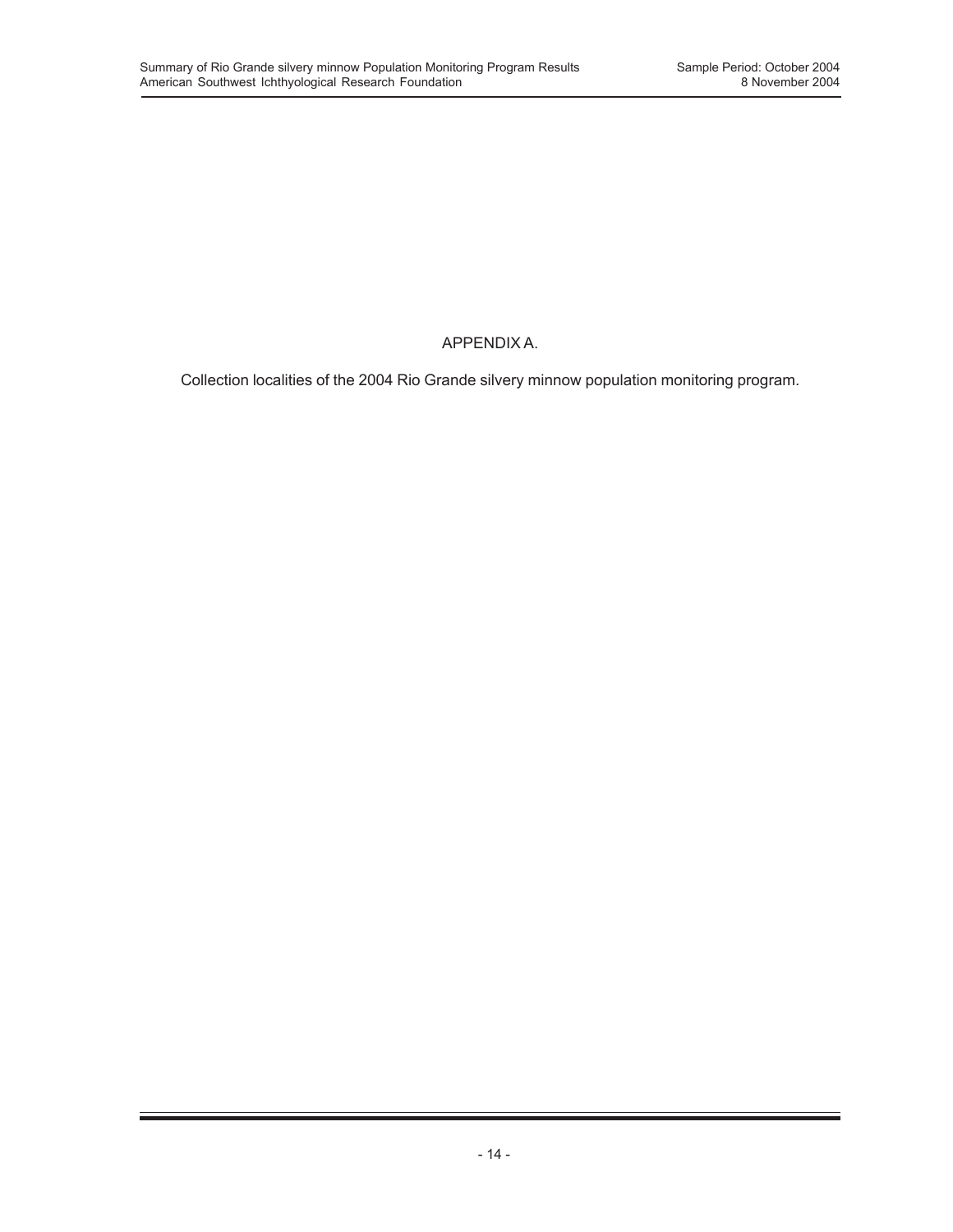### APPENDIX A.

Collection localities of the 2004 Rio Grande silvery minnow population monitoring program.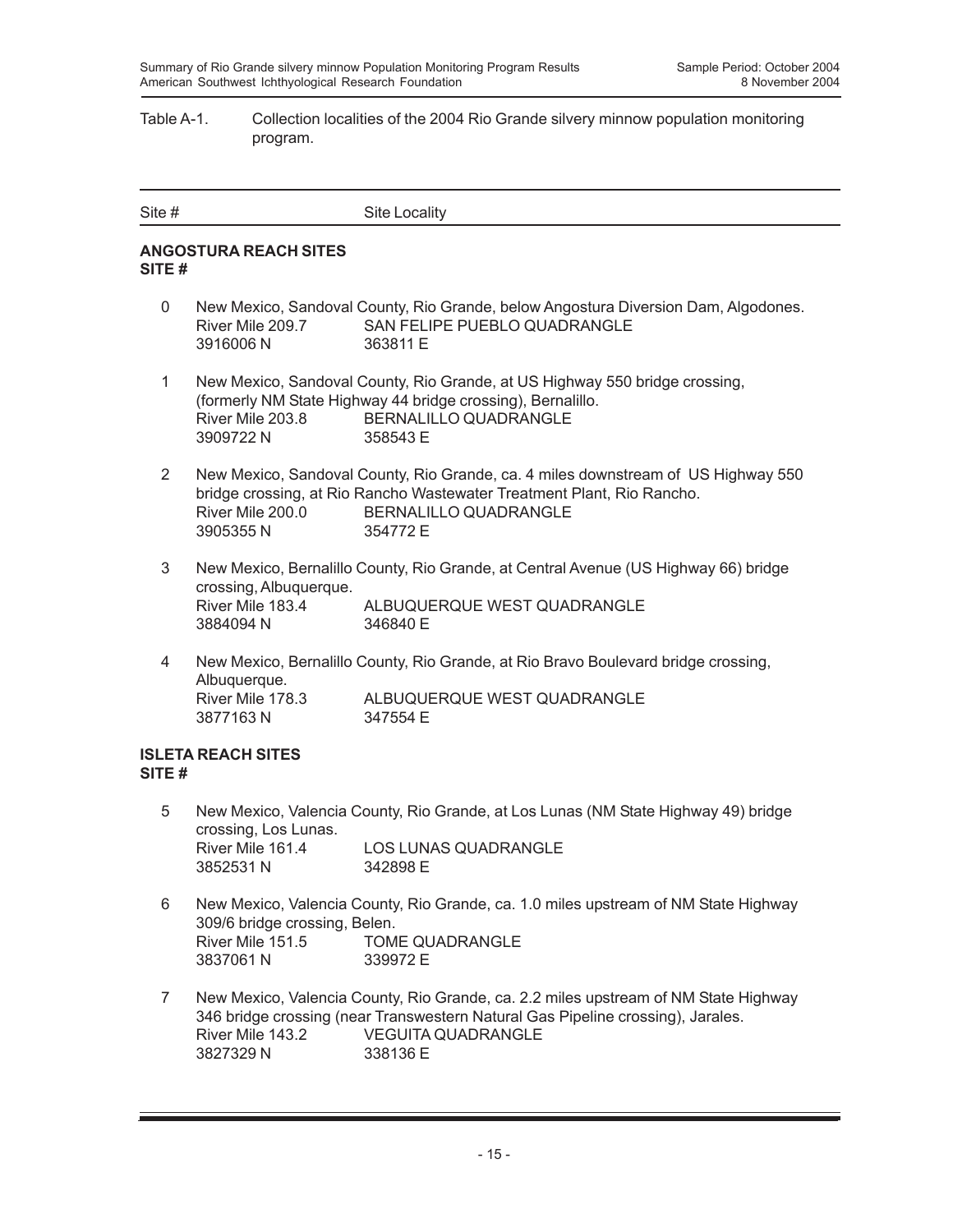#### Table A-1. Collection localities of the 2004 Rio Grande silvery minnow population monitoring program.

| Site # | Site Locality |
|--------|---------------|

#### **ANGOSTURA REACH SITES SITE #**

- 0 New Mexico, Sandoval County, Rio Grande, below Angostura Diversion Dam, Algodones. River Mile 209.7 SAN FELIPE PUEBLO QUADRANGLE 3916006 N 363811 E
- 1 New Mexico, Sandoval County, Rio Grande, at US Highway 550 bridge crossing, (formerly NM State Highway 44 bridge crossing), Bernalillo. River Mile 203.8 BERNALILLO QUADRANGLE 3909722 N 358543 E
- 2 New Mexico, Sandoval County, Rio Grande, ca. 4 miles downstream of US Highway 550 bridge crossing, at Rio Rancho Wastewater Treatment Plant, Rio Rancho. River Mile 200.0 BERNALILLO QUADRANGLE 3905355 N 354772 E
- 3 New Mexico, Bernalillo County, Rio Grande, at Central Avenue (US Highway 66) bridge crossing, Albuquerque. River Mile 183.4 ALBUQUERQUE WEST QUADRANGLE 3884094 N 346840 E
- 4 New Mexico, Bernalillo County, Rio Grande, at Rio Bravo Boulevard bridge crossing, Albuquerque. River Mile 178.3 ALBUQUERQUE WEST QUADRANGLE 3877163 N 347554 E

#### **ISLETA REACH SITES SITE #**

- 5 New Mexico, Valencia County, Rio Grande, at Los Lunas (NM State Highway 49) bridge crossing, Los Lunas. River Mile 161.4 LOS LUNAS QUADRANGLE 3852531 N 342898 E
- 6 New Mexico, Valencia County, Rio Grande, ca. 1.0 miles upstream of NM State Highway 309/6 bridge crossing, Belen. River Mile 151.5 TOME QUADRANGLE 3837061 N 339972 E
- 7 New Mexico, Valencia County, Rio Grande, ca. 2.2 miles upstream of NM State Highway 346 bridge crossing (near Transwestern Natural Gas Pipeline crossing), Jarales. River Mile 143.2 VEGUITA QUADRANGLE 3827329 N 338136 E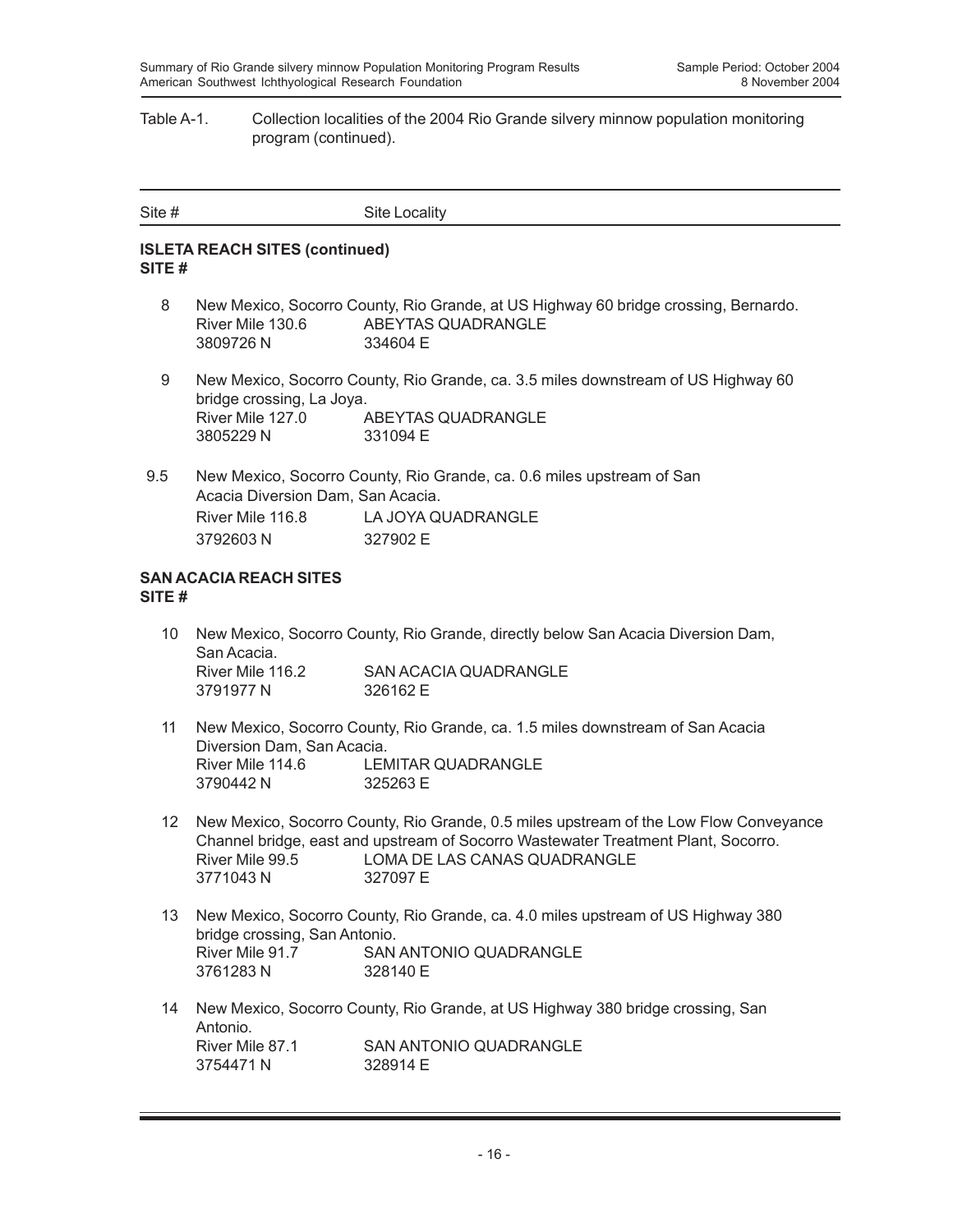#### Table A-1. Collection localities of the 2004 Rio Grande silvery minnow population monitoring program (continued).

| Site # | Site Locality |
|--------|---------------|
|        |               |

#### **ISLETA REACH SITES (continued) SITE #**

- 8 New Mexico, Socorro County, Rio Grande, at US Highway 60 bridge crossing, Bernardo. River Mile 130.6 ABEYTAS QUADRANGLE 3809726 N 334604 E
- 9 New Mexico, Socorro County, Rio Grande, ca. 3.5 miles downstream of US Highway 60 bridge crossing, La Joya. River Mile 127.0 ABEYTAS QUADRANGLE 3805229 N 331094 E
- 9.5 New Mexico, Socorro County, Rio Grande, ca. 0.6 miles upstream of San Acacia Diversion Dam, San Acacia. River Mile 116.8 LA JOYA QUADRANGLE 3792603 N 327902 E

#### **SAN ACACIA REACH SITES SITE #**

- 10 New Mexico, Socorro County, Rio Grande, directly below San Acacia Diversion Dam, San Acacia. River Mile 116.2 SAN ACACIA QUADRANGLE 3791977 N 326162 E
- 11 New Mexico, Socorro County, Rio Grande, ca. 1.5 miles downstream of San Acacia Diversion Dam, San Acacia. River Mile 114.6 LEMITAR QUADRANGLE 3790442 N 325263 E
- 12 New Mexico, Socorro County, Rio Grande, 0.5 miles upstream of the Low Flow Conveyance Channel bridge, east and upstream of Socorro Wastewater Treatment Plant, Socorro. River Mile 99.5 LOMA DE LAS CANAS QUADRANGLE 3771043 N 327097 E
- 13 New Mexico, Socorro County, Rio Grande, ca. 4.0 miles upstream of US Highway 380 bridge crossing, San Antonio. River Mile 91.7 SAN ANTONIO QUADRANGLE 3761283 N 328140 E
- 14 New Mexico, Socorro County, Rio Grande, at US Highway 380 bridge crossing, San Antonio.<br>River Mile 87.1 SAN ANTONIO QUADRANGLE 3754471 N 328914 F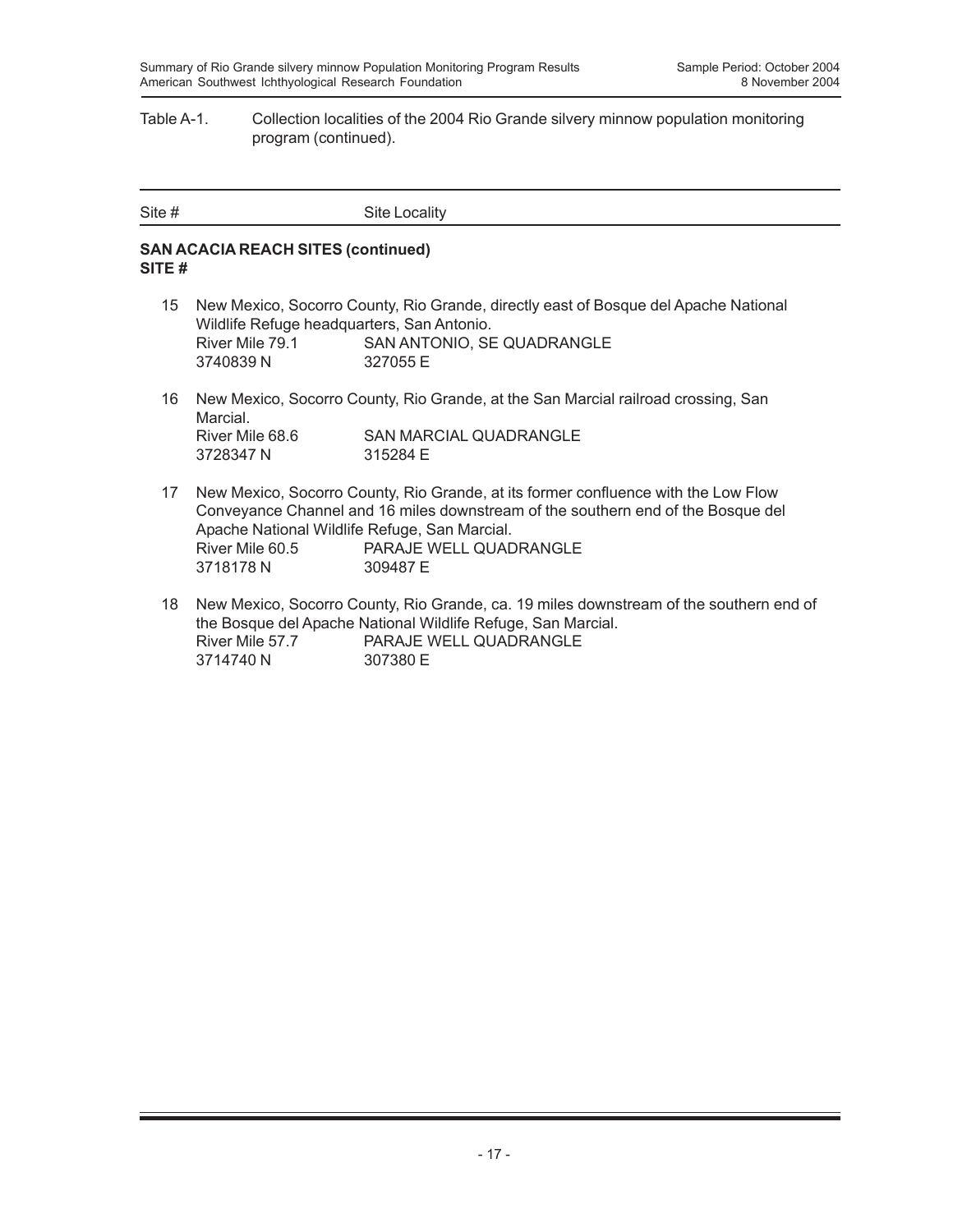#### Table A-1. Collection localities of the 2004 Rio Grande silvery minnow population monitoring program (continued).

| Site # | Site Locality |
|--------|---------------|

#### **SAN ACACIA REACH SITES (continued) SITE #**

- 15 New Mexico, Socorro County, Rio Grande, directly east of Bosque del Apache National Wildlife Refuge headquarters, San Antonio. River Mile 79.1 SAN ANTONIO, SE QUADRANGLE 3740839 N 327055 E
- 16 New Mexico, Socorro County, Rio Grande, at the San Marcial railroad crossing, San Marcial. River Mile 68.6 SAN MARCIAL QUADRANGLE<br>3728347 N 315284 E 3728347 N
- 17 New Mexico, Socorro County, Rio Grande, at its former confluence with the Low Flow Conveyance Channel and 16 miles downstream of the southern end of the Bosque del Apache National Wildlife Refuge, San Marcial. River Mile 60.5 PARAJE WELL QUADRANGLE 3718178 N 309487 E
- 18 New Mexico, Socorro County, Rio Grande, ca. 19 miles downstream of the southern end of the Bosque del Apache National Wildlife Refuge, San Marcial. River Mile 57.7 PARAJE WELL QUADRANGLE 3714740 N 307380 E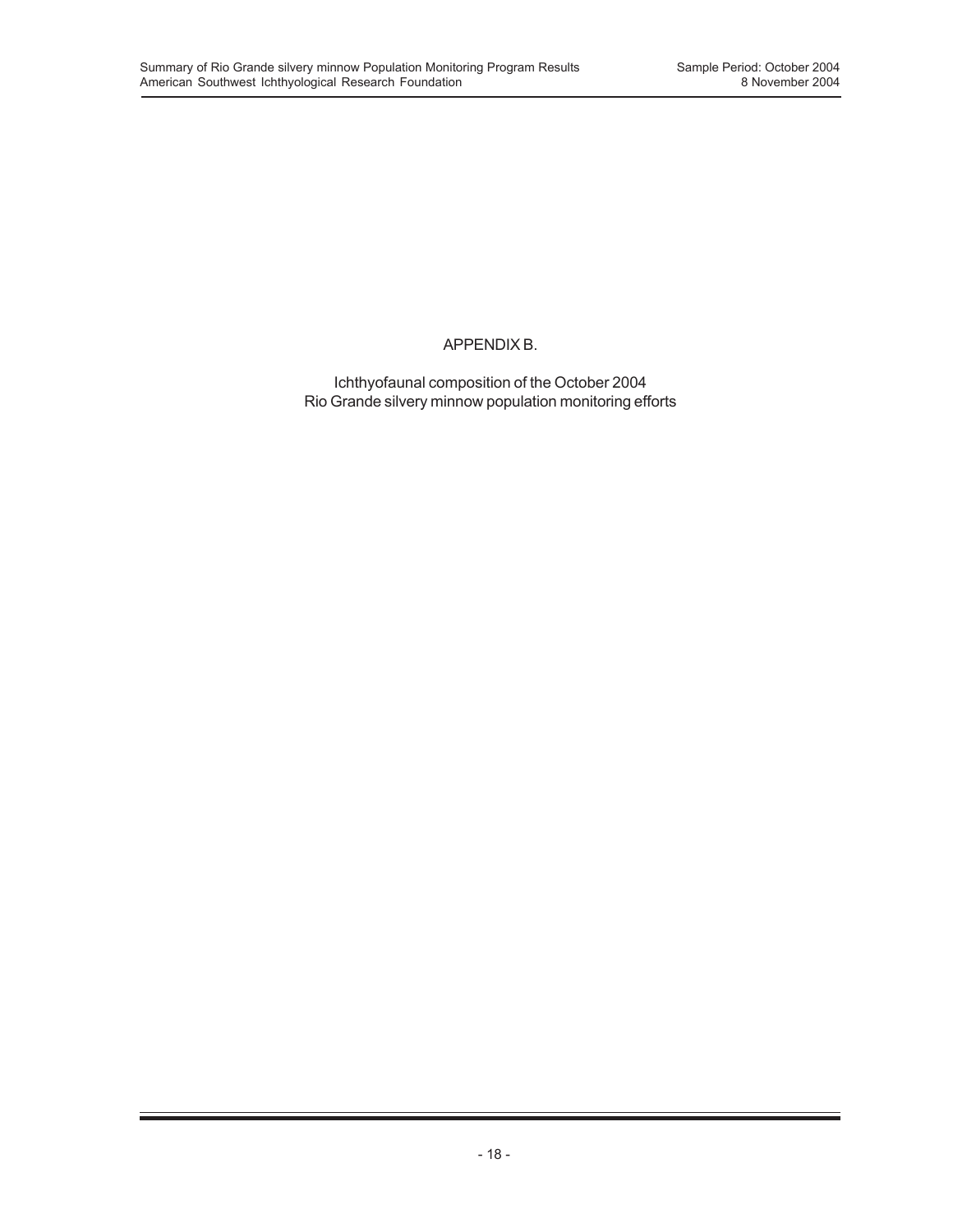### APPENDIX B.

Ichthyofaunal composition of the October 2004 Rio Grande silvery minnow population monitoring efforts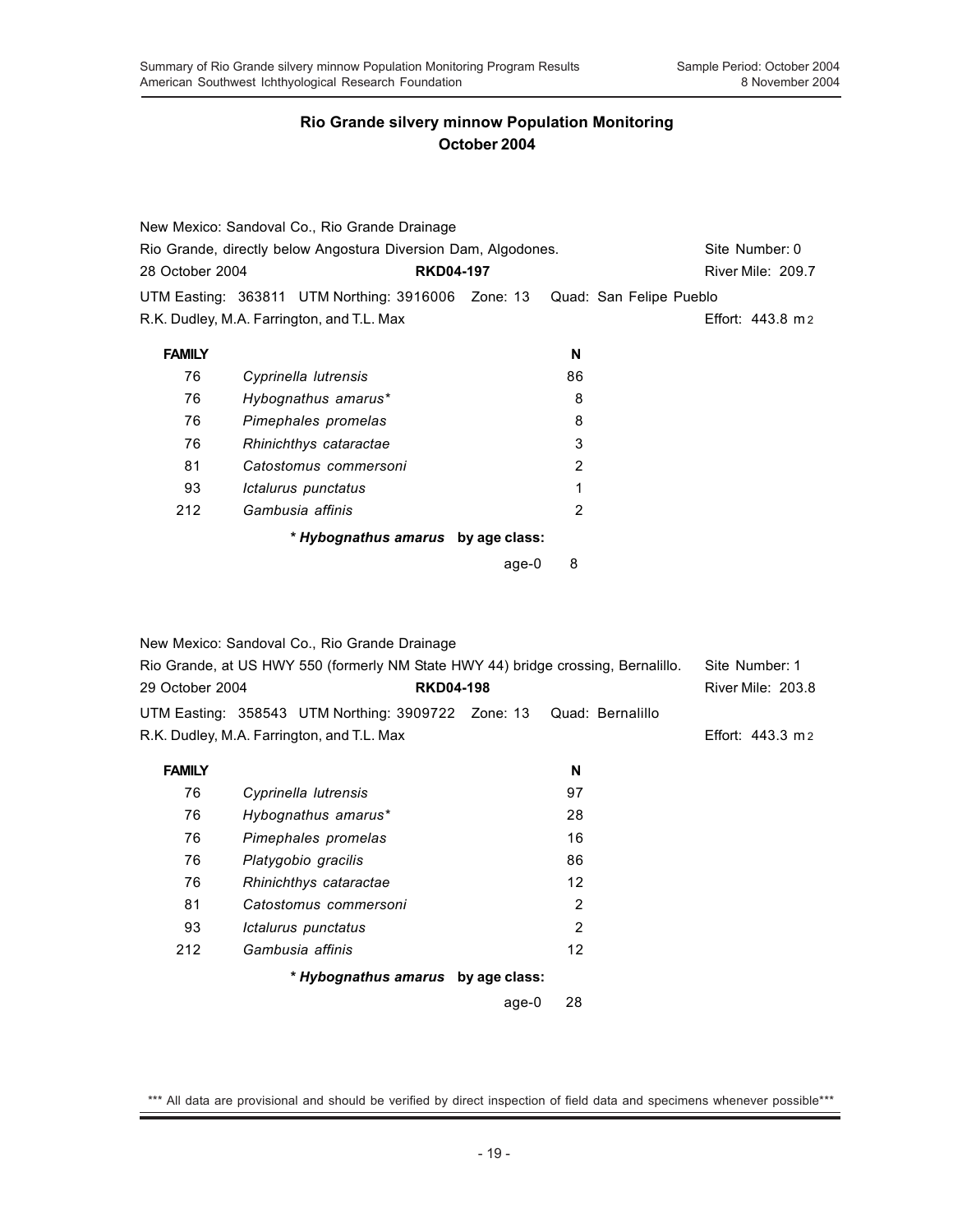|                 | New Mexico: Sandoval Co., Rio Grande Drainage                                                                                      |                  |       |                |                         |                                            |
|-----------------|------------------------------------------------------------------------------------------------------------------------------------|------------------|-------|----------------|-------------------------|--------------------------------------------|
|                 | Rio Grande, directly below Angostura Diversion Dam, Algodones.                                                                     |                  |       |                |                         | Site Number: 0                             |
| 28 October 2004 |                                                                                                                                    | <b>RKD04-197</b> |       |                |                         | River Mile: 209.7                          |
|                 | UTM Easting: 363811 UTM Northing: 3916006 Zone: 13                                                                                 |                  |       |                | Quad: San Felipe Pueblo |                                            |
|                 | R.K. Dudley, M.A. Farrington, and T.L. Max                                                                                         |                  |       |                |                         | Effort: 443.8 m 2                          |
| <b>FAMILY</b>   |                                                                                                                                    |                  |       | N              |                         |                                            |
| 76              | Cyprinella lutrensis                                                                                                               |                  |       | 86             |                         |                                            |
| 76              | Hybognathus amarus*                                                                                                                |                  |       | 8              |                         |                                            |
| 76              | Pimephales promelas                                                                                                                |                  |       | 8              |                         |                                            |
| 76              | Rhinichthys cataractae                                                                                                             |                  |       | 3              |                         |                                            |
| 81              | Catostomus commersoni                                                                                                              |                  |       | $\overline{2}$ |                         |                                            |
| 93              | Ictalurus punctatus                                                                                                                |                  |       | 1              |                         |                                            |
| 212             | Gambusia affinis                                                                                                                   |                  |       | 2              |                         |                                            |
|                 | * Hybognathus amarus by age class:                                                                                                 |                  |       |                |                         |                                            |
|                 |                                                                                                                                    |                  | age-0 | 8              |                         |                                            |
| 29 October 2004 | New Mexico: Sandoval Co., Rio Grande Drainage<br>Rio Grande, at US HWY 550 (formerly NM State HWY 44) bridge crossing, Bernalillo. | <b>RKD04-198</b> |       |                |                         | Site Number: 1<br><b>River Mile: 203.8</b> |
|                 |                                                                                                                                    |                  |       |                |                         |                                            |
|                 | UTM Easting: 358543 UTM Northing: 3909722 Zone: 13<br>R.K. Dudley, M.A. Farrington, and T.L. Max                                   |                  |       |                | Quad: Bernalillo        | Effort: 443.3 m 2                          |
|                 |                                                                                                                                    |                  |       |                |                         |                                            |
| <b>FAMILY</b>   |                                                                                                                                    |                  |       | N              |                         |                                            |
| 76              | Cyprinella lutrensis                                                                                                               |                  |       | 97             |                         |                                            |
| 76              | Hybognathus amarus*                                                                                                                |                  |       | 28             |                         |                                            |
| 76              | Pimephales promelas                                                                                                                |                  |       | 16             |                         |                                            |
| 76              | Platygobio gracilis                                                                                                                |                  |       | 86             |                         |                                            |
| 76              | Rhinichthys cataractae                                                                                                             |                  |       | 12             |                         |                                            |
| 81              | Catostomus commersoni                                                                                                              |                  |       | 2              |                         |                                            |
| 93              | Ictalurus punctatus                                                                                                                |                  |       | $\overline{2}$ |                         |                                            |
| 212             | Gambusia affinis                                                                                                                   |                  |       | 12             |                         |                                            |
|                 | * Hybognathus amarus by age class:                                                                                                 |                  |       |                |                         |                                            |
|                 |                                                                                                                                    |                  | age-0 | 28             |                         |                                            |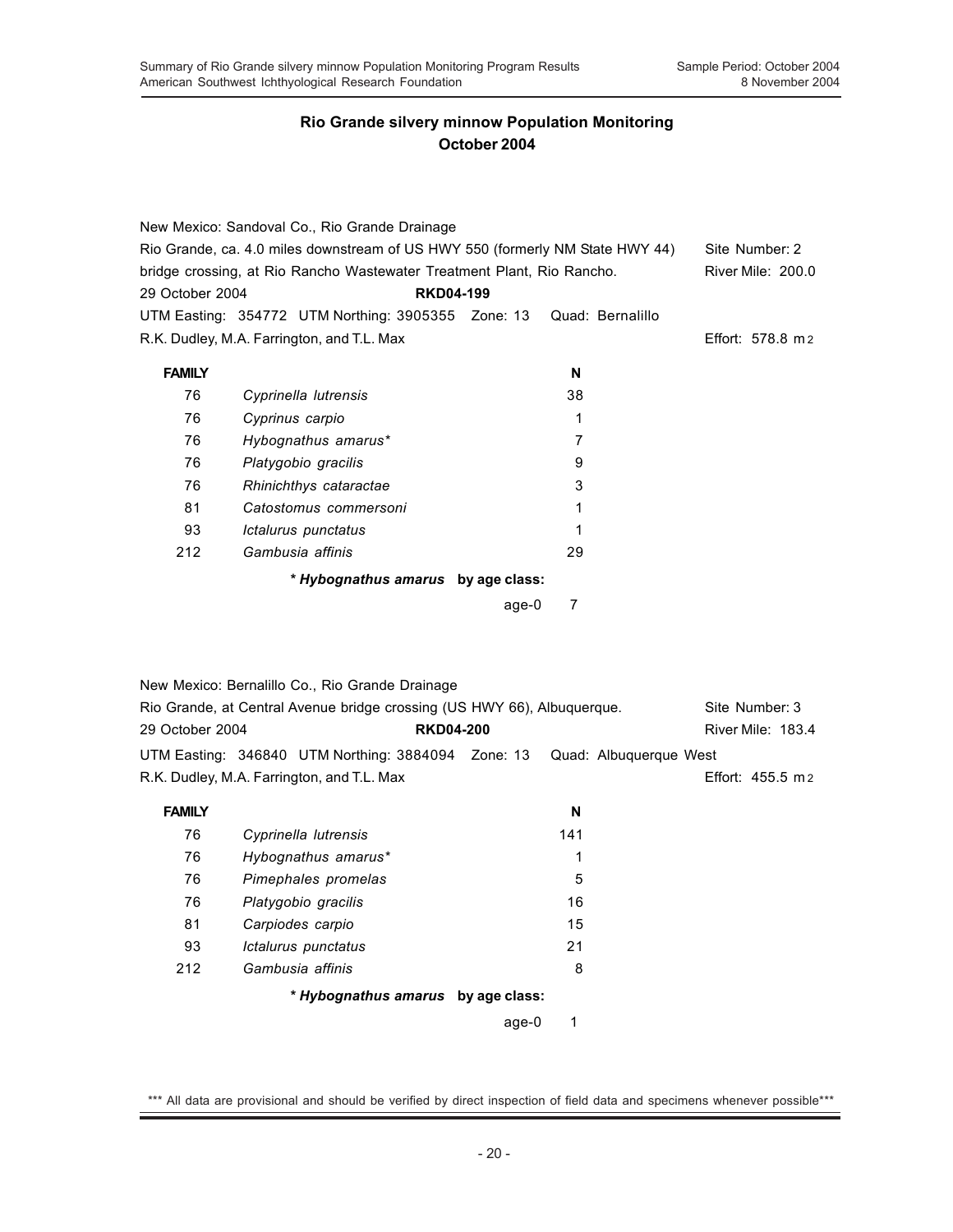|                                                                               | New Mexico: Sandoval Co., Rio Grande Drainage      |                                    |       |                  |  |                          |
|-------------------------------------------------------------------------------|----------------------------------------------------|------------------------------------|-------|------------------|--|--------------------------|
| Rio Grande, ca. 4.0 miles downstream of US HWY 550 (formerly NM State HWY 44) |                                                    | Site Number: 2                     |       |                  |  |                          |
| bridge crossing, at Rio Rancho Wastewater Treatment Plant, Rio Rancho.        |                                                    | <b>River Mile: 200.0</b>           |       |                  |  |                          |
| 29 October 2004                                                               |                                                    | <b>RKD04-199</b>                   |       |                  |  |                          |
|                                                                               | UTM Easting: 354772 UTM Northing: 3905355 Zone: 13 |                                    |       | Quad: Bernalillo |  |                          |
|                                                                               | R.K. Dudley, M.A. Farrington, and T.L. Max         |                                    |       |                  |  | Effort: 578.8 m 2        |
| <b>FAMILY</b>                                                                 |                                                    |                                    |       | N                |  |                          |
| 76                                                                            | Cyprinella lutrensis                               |                                    |       | 38               |  |                          |
| 76                                                                            | Cyprinus carpio                                    |                                    |       | 1                |  |                          |
| 76                                                                            | Hybognathus amarus*                                |                                    |       | 7                |  |                          |
| 76                                                                            | Platygobio gracilis                                |                                    |       | 9                |  |                          |
| 76                                                                            | Rhinichthys cataractae                             |                                    |       | 3                |  |                          |
| 81                                                                            | Catostomus commersoni                              |                                    |       | 1                |  |                          |
| 93                                                                            | Ictalurus punctatus                                |                                    |       | 1                |  |                          |
| 212                                                                           | Gambusia affinis                                   |                                    |       | 29               |  |                          |
|                                                                               |                                                    | * Hybognathus amarus by age class: |       |                  |  |                          |
|                                                                               |                                                    |                                    | age-0 | 7                |  |                          |
|                                                                               |                                                    |                                    |       |                  |  |                          |
|                                                                               | New Mexico: Bernalillo Co., Rio Grande Drainage    |                                    |       |                  |  |                          |
| Rio Grande, at Central Avenue bridge crossing (US HWY 66), Albuquerque.       |                                                    |                                    |       |                  |  | Site Number: 3           |
| <b>RKD04-200</b><br>29 October 2004                                           |                                                    |                                    |       |                  |  | <b>River Mile: 183.4</b> |

| 29 October 2004 | <b>RKD04-200</b>                           |                                                                           | River Mile: 183.4 |
|-----------------|--------------------------------------------|---------------------------------------------------------------------------|-------------------|
|                 |                                            | UTM Easting: 346840 UTM Northing: 3884094 Zone: 13 Quad: Albuguergue West |                   |
|                 | R.K. Dudley, M.A. Farrington, and T.L. Max |                                                                           | Effort: 455.5 m 2 |

| <b>FAMILY</b> |                                    | N   |  |
|---------------|------------------------------------|-----|--|
| 76            | Cyprinella lutrensis               | 141 |  |
| 76            | Hybognathus amarus*                | 1   |  |
| 76            | Pimephales promelas                | 5   |  |
| 76            | Platygobio gracilis                | 16  |  |
| 81            | Carpiodes carpio                   | 15  |  |
| 93            | Ictalurus punctatus                | 21  |  |
| 212           | Gambusia affinis                   | 8   |  |
|               | * Hybognathus amarus by age class: |     |  |

age-0 1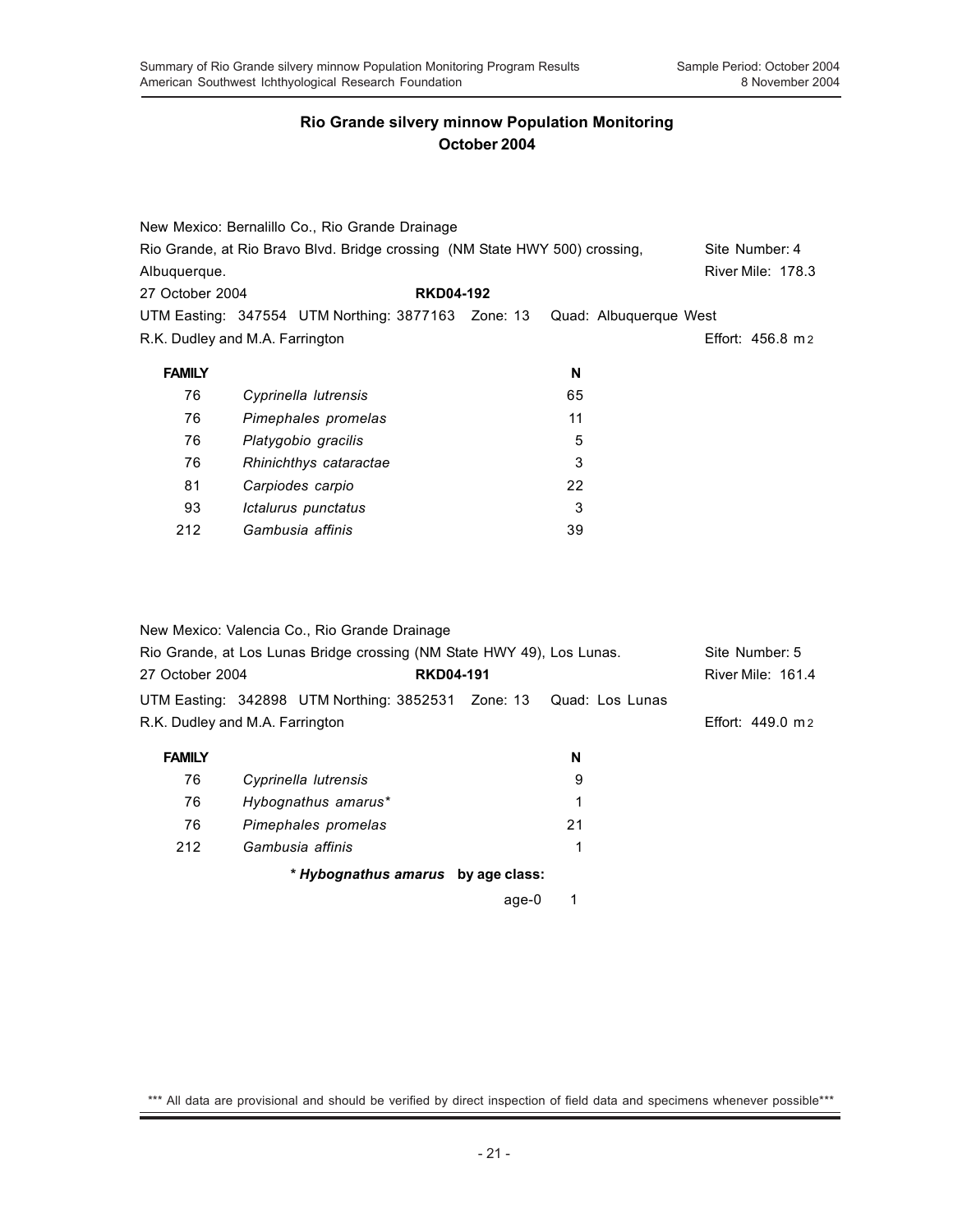|                 | New Mexico: Bernalillo Co., Rio Grande Drainage                                               |    |                        |  |  |  |  |
|-----------------|-----------------------------------------------------------------------------------------------|----|------------------------|--|--|--|--|
|                 | Rio Grande, at Rio Bravo Blvd. Bridge crossing (NM State HWY 500) crossing,<br>Site Number: 4 |    |                        |  |  |  |  |
| Albuquerque.    |                                                                                               |    | River Mile: 178.3      |  |  |  |  |
| 27 October 2004 | <b>RKD04-192</b>                                                                              |    |                        |  |  |  |  |
|                 | UTM Easting: 347554 UTM Northing: 3877163 Zone: 13                                            |    | Quad: Albuguergue West |  |  |  |  |
|                 | R.K. Dudley and M.A. Farrington                                                               |    | Effort: 456.8 m 2      |  |  |  |  |
| <b>FAMILY</b>   |                                                                                               | N  |                        |  |  |  |  |
| 76              | Cyprinella lutrensis                                                                          | 65 |                        |  |  |  |  |
| 76              | Pimephales promelas                                                                           | 11 |                        |  |  |  |  |
| 76              | Platygobio gracilis                                                                           | 5  |                        |  |  |  |  |
| 76              | Rhinichthys cataractae                                                                        | 3  |                        |  |  |  |  |
| 81              | Carpiodes carpio                                                                              | 22 |                        |  |  |  |  |
| 93              | Ictalurus punctatus                                                                           | 3  |                        |  |  |  |  |
| 212             | Gambusia affinis                                                                              | 39 |                        |  |  |  |  |

|                                                                        | New Mexico: Valencia Co., Rio Grande Drainage                      |                  |    |                   |
|------------------------------------------------------------------------|--------------------------------------------------------------------|------------------|----|-------------------|
| Rio Grande, at Los Lunas Bridge crossing (NM State HWY 49), Los Lunas. |                                                                    |                  |    | Site Number: 5    |
| 27 October 2004                                                        |                                                                    | <b>RKD04-191</b> |    |                   |
|                                                                        | UTM Easting: 342898 UTM Northing: 3852531 Zone: 13 Quad: Los Lunas |                  |    |                   |
| R.K. Dudley and M.A. Farrington                                        |                                                                    |                  |    | Effort: 449.0 m 2 |
| <b>FAMILY</b>                                                          |                                                                    |                  | N  |                   |
| 76                                                                     | Cyprinella lutrensis                                               |                  | 9  |                   |
| 76                                                                     | Hybognathus amarus*                                                |                  | 1  |                   |
| 76                                                                     | Pimephales promelas                                                |                  | 21 |                   |
| 212                                                                    | Gambusia affinis                                                   |                  |    |                   |
|                                                                        | * Hybognathus amarus by age class:                                 |                  |    |                   |

age-0 1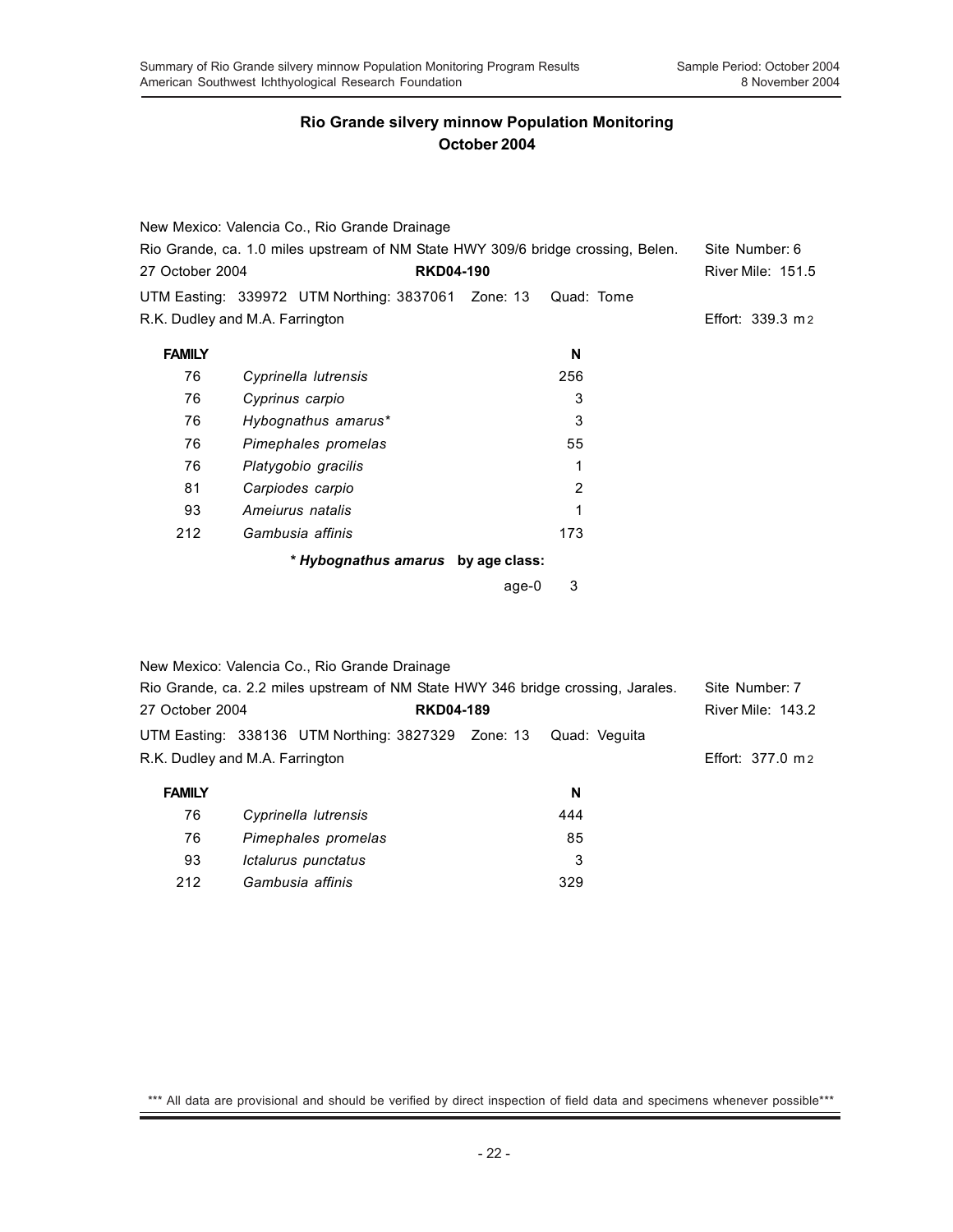|                 | New Mexico: Valencia Co., Rio Grande Drainage                                    |                |                          |
|-----------------|----------------------------------------------------------------------------------|----------------|--------------------------|
|                 | Rio Grande, ca. 1.0 miles upstream of NM State HWY 309/6 bridge crossing, Belen. | Site Number: 6 |                          |
| 27 October 2004 | <b>RKD04-190</b>                                                                 |                | <b>River Mile: 151.5</b> |
|                 | UTM Easting: 339972 UTM Northing: 3837061 Zone: 13                               | Quad: Tome     |                          |
|                 | R.K. Dudley and M.A. Farrington                                                  |                | Effort: 339.3 m 2        |
| <b>FAMILY</b>   |                                                                                  | N              |                          |
| 76              | Cyprinella lutrensis                                                             | 256            |                          |
| 76              | Cyprinus carpio                                                                  | 3              |                          |
| 76              | Hybognathus amarus*                                                              | 3              |                          |
| 76              | Pimephales promelas                                                              | 55             |                          |
| 76              | Platygobio gracilis                                                              | 1              |                          |
| 81              | Carpiodes carpio                                                                 | $\overline{2}$ |                          |
| 93              | Amejurus natalis                                                                 | 1              |                          |
| 212             | Gambusia affinis                                                                 | 173            |                          |
|                 | * Hybognathus amarus by age class:                                               |                |                          |
|                 |                                                                                  | 3<br>age-0     |                          |
|                 |                                                                                  |                |                          |
|                 |                                                                                  |                |                          |
|                 | New Mexico: Valencia Co., Rio Grande Drainage                                    |                |                          |
|                 | Rio Grande, ca. 2.2 miles upstream of NM State HWY 346 bridge crossing, Jarales. |                | Site Number: 7           |
| 27 October 2004 | <b>RKD04-189</b>                                                                 |                | River Mile: 143.2        |
|                 | UTM Easting: 338136 UTM Northing: 3827329 Zone: 13                               | Quad: Veguita  |                          |
|                 | R.K. Dudley and M.A. Farrington                                                  |                | Effort: 377.0 m 2        |
| <b>FAMILY</b>   |                                                                                  | N              |                          |
| 76              | Cyprinella lutrensis                                                             | 444            |                          |

| 76  | Cyprinella lutrensis | 444 |
|-----|----------------------|-----|
| 76  | Pimephales promelas  | 85  |
| 93  | Ictalurus punctatus  |     |
| 212 | Gambusia affinis     | 329 |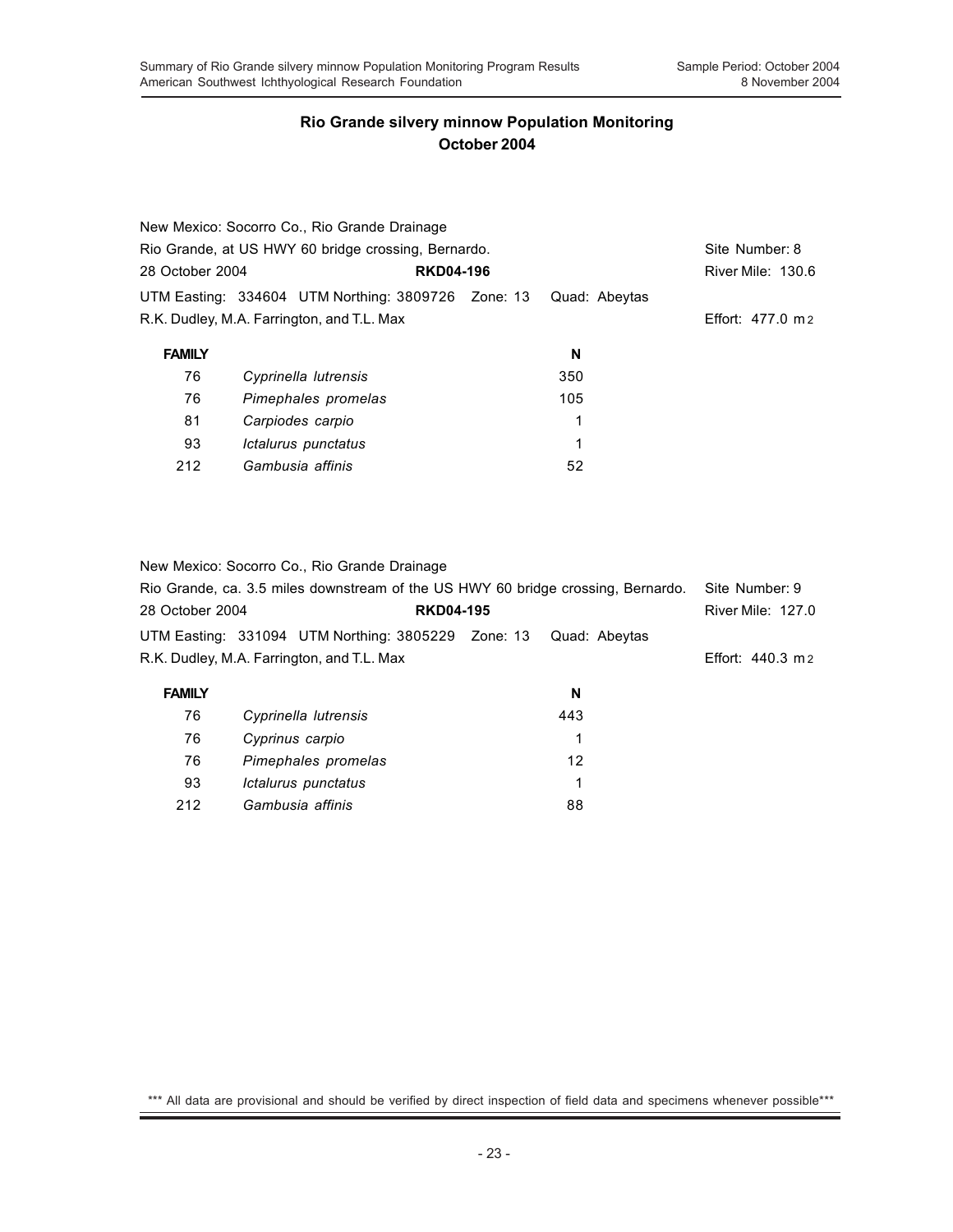|                 | New Mexico: Socorro Co., Rio Grande Drainage        |  |               |                   |
|-----------------|-----------------------------------------------------|--|---------------|-------------------|
|                 | Rio Grande, at US HWY 60 bridge crossing, Bernardo. |  |               |                   |
| 28 October 2004 | <b>RKD04-196</b>                                    |  |               | River Mile: 130.6 |
|                 | UTM Easting: 334604 UTM Northing: 3809726 Zone: 13  |  | Quad: Abeytas |                   |
|                 | R.K. Dudley, M.A. Farrington, and T.L. Max          |  |               | Effort: 477.0 m 2 |
| <b>FAMILY</b>   |                                                     |  | N             |                   |
| 76              | Cyprinella lutrensis                                |  | 350           |                   |
| 76              | Pimephales promelas                                 |  | 105           |                   |
| 81              | Carpiodes carpio                                    |  | 1             |                   |
|                 |                                                     |  |               |                   |
| 93              | Ictalurus punctatus                                 |  | 1             |                   |

New Mexico: Socorro Co., Rio Grande Drainage

|                 | Rio Grande, ca. 3.5 miles downstream of the US HWY 60 bridge crossing, Bernardo. |               | Site Number: 9            |
|-----------------|----------------------------------------------------------------------------------|---------------|---------------------------|
| 28 October 2004 | <b>RKD04-195</b>                                                                 |               | <b>River Mile: 127.0</b>  |
|                 | UTM Easting: 331094 UTM Northing: 3805229 Zone: 13                               | Quad: Abeytas |                           |
|                 | R.K. Dudley, M.A. Farrington, and T.L. Max                                       |               | Effort: $440.3 \text{ m}$ |
| <b>FAMILY</b>   |                                                                                  | N             |                           |
| 76              | Cyprinella lutrensis                                                             | 443           |                           |
| 76              | Cyprinus carpio                                                                  | 1             |                           |
| 76              | Pimephales promelas                                                              | 12            |                           |

93 *Ictalurus punctatus* 1 212 *Gambusia affinis* 88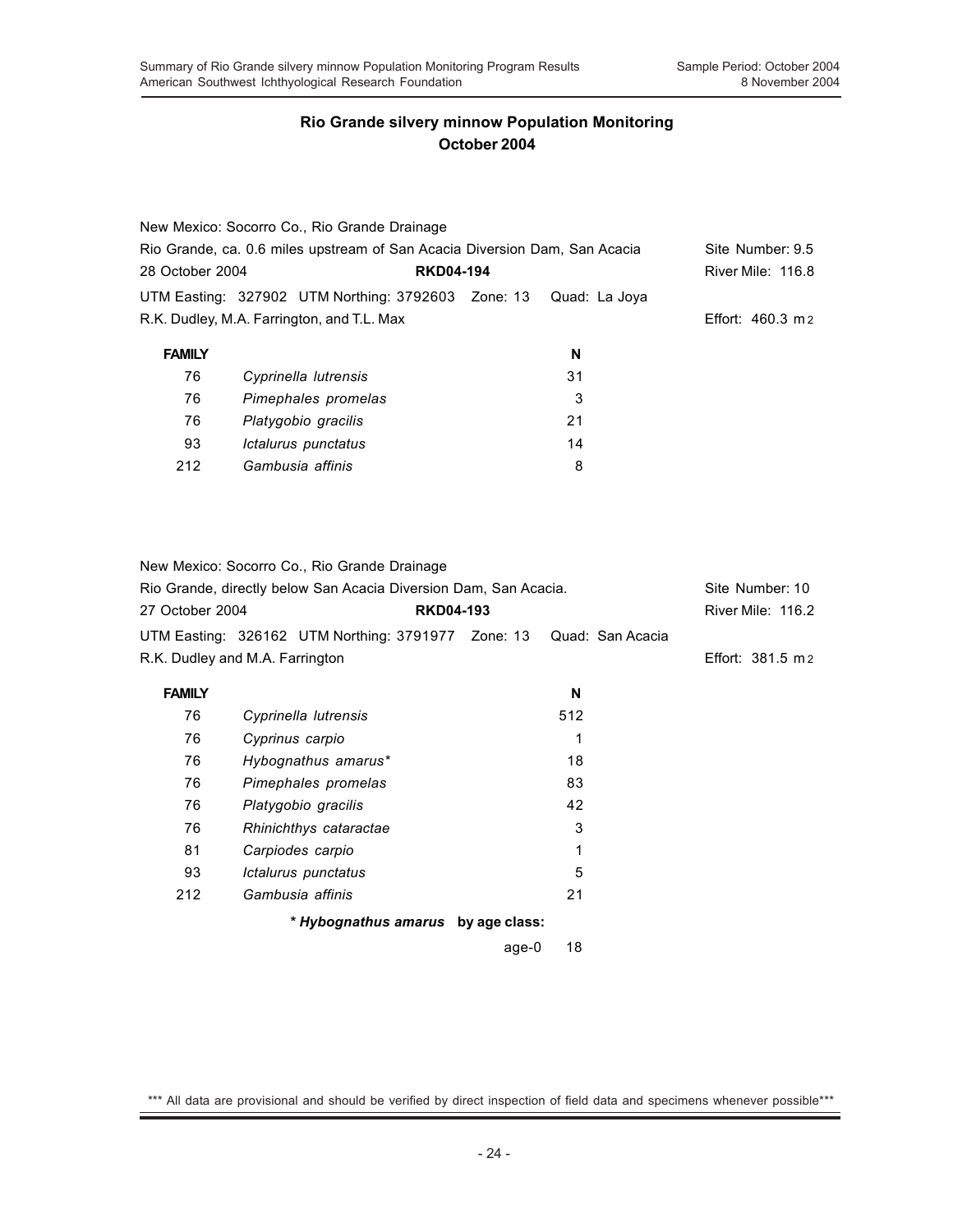|                 | New Mexico: Socorro Co., Rio Grande Drainage                               |                  |               |                           |
|-----------------|----------------------------------------------------------------------------|------------------|---------------|---------------------------|
|                 | Rio Grande, ca. 0.6 miles upstream of San Acacia Diversion Dam, San Acacia |                  |               |                           |
| 28 October 2004 |                                                                            | <b>RKD04-194</b> |               | <b>River Mile: 116.8</b>  |
|                 | UTM Easting: 327902 UTM Northing: 3792603 Zone: 13                         |                  | Quad: La Jova |                           |
|                 | R.K. Dudley, M.A. Farrington, and T.L. Max                                 |                  |               | Effort: $460.3 \text{ m}$ |
| <b>FAMILY</b>   |                                                                            |                  | N             |                           |
| 76              | Cyprinella lutrensis                                                       |                  | 31            |                           |
| 76              | Pimephales promelas                                                        |                  | 3             |                           |
| 76              | Platygobio gracilis                                                        |                  | 21            |                           |
| 93              | Ictalurus punctatus                                                        |                  | 14            |                           |
| 212             | Gambusia affinis                                                           |                  | 8             |                           |

|                 | New Mexico: Socorro Co., Rio Grande Drainage                        |       |     |  |                            |  |
|-----------------|---------------------------------------------------------------------|-------|-----|--|----------------------------|--|
|                 | Rio Grande, directly below San Acacia Diversion Dam, San Acacia.    |       |     |  | Site Number: 10            |  |
| 27 October 2004 | <b>RKD04-193</b>                                                    |       |     |  | River Mile: 116.2          |  |
|                 | UTM Easting: 326162 UTM Northing: 3791977 Zone: 13 Quad: San Acacia |       |     |  |                            |  |
|                 | R.K. Dudley and M.A. Farrington                                     |       |     |  | Effort: $381.5 \text{ m2}$ |  |
| <b>FAMILY</b>   |                                                                     |       | N   |  |                            |  |
| 76              | Cyprinella lutrensis                                                |       | 512 |  |                            |  |
| 76              | Cyprinus carpio                                                     |       | 1   |  |                            |  |
| 76              | Hybognathus amarus*                                                 |       | 18  |  |                            |  |
| 76              | Pimephales promelas                                                 |       | 83  |  |                            |  |
| 76              | Platygobio gracilis                                                 |       | 42  |  |                            |  |
| 76              | Rhinichthys cataractae                                              |       | 3   |  |                            |  |
| 81              | Carpiodes carpio                                                    |       | 1   |  |                            |  |
| 93              | Ictalurus punctatus                                                 |       | 5   |  |                            |  |
| 212             | Gambusia affinis                                                    |       | 21  |  |                            |  |
|                 | * Hybognathus amarus by age class:                                  |       |     |  |                            |  |
|                 |                                                                     | age-0 | 18  |  |                            |  |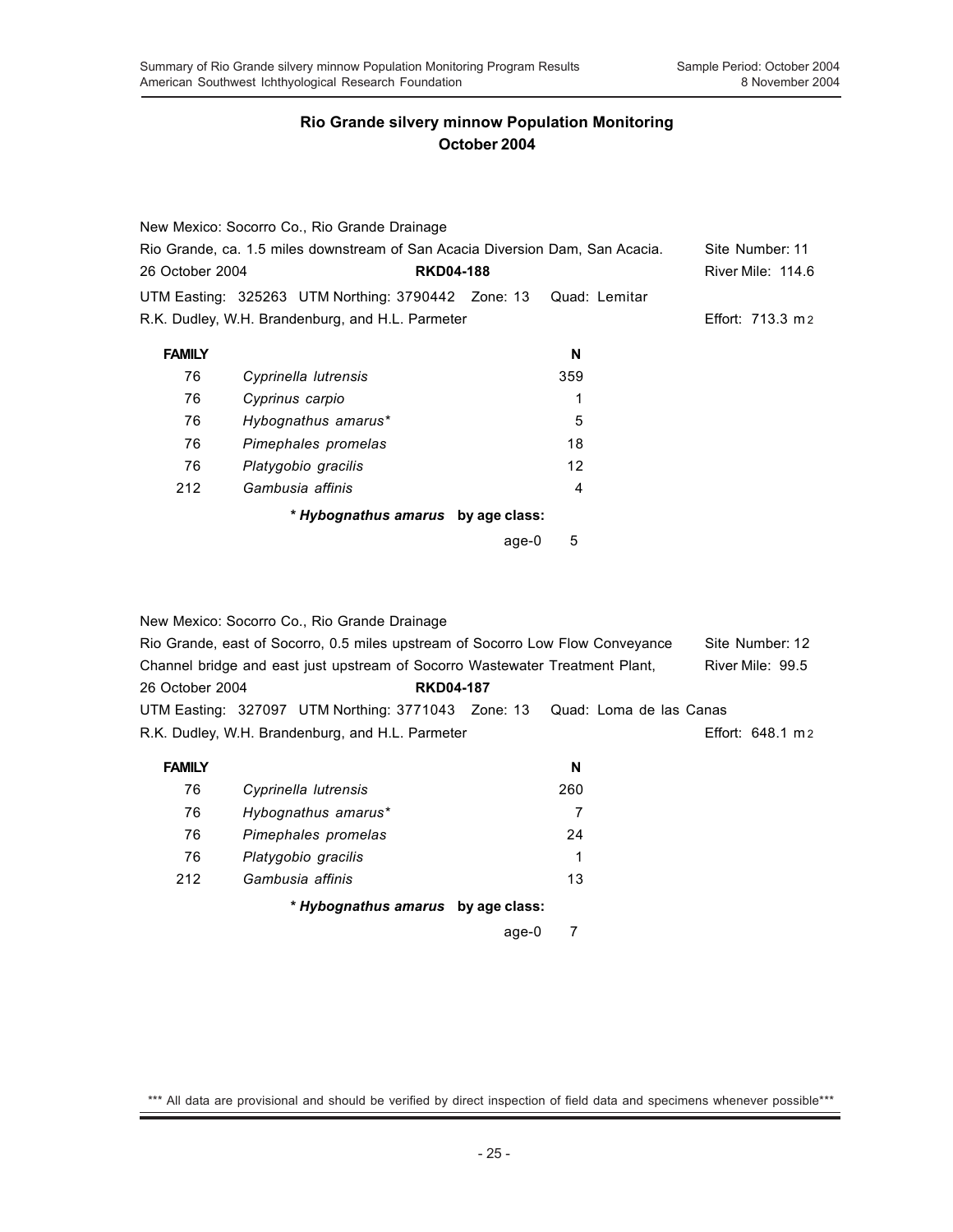|                                                                               | New Mexico: Socorro Co., Rio Grande Drainage                     |       |                 |                          |
|-------------------------------------------------------------------------------|------------------------------------------------------------------|-------|-----------------|--------------------------|
| Rio Grande, ca. 1.5 miles downstream of San Acacia Diversion Dam, San Acacia. |                                                                  |       | Site Number: 11 |                          |
| 26 October 2004                                                               | <b>RKD04-188</b>                                                 |       |                 | <b>River Mile: 114.6</b> |
|                                                                               | UTM Easting: 325263 UTM Northing: 3790442 Zone: 13 Quad: Lemitar |       |                 |                          |
|                                                                               | R.K. Dudley, W.H. Brandenburg, and H.L. Parmeter                 |       |                 | Effort: 713.3 m 2        |
| <b>FAMILY</b>                                                                 |                                                                  |       | N               |                          |
| 76                                                                            | Cyprinella lutrensis                                             |       | 359             |                          |
| 76                                                                            | Cyprinus carpio                                                  |       | 1               |                          |
| 76                                                                            | Hybognathus amarus*                                              |       | 5               |                          |
| 76                                                                            | Pimephales promelas                                              |       | 18              |                          |
| 76                                                                            | Platygobio gracilis                                              |       | 12              |                          |
| 212                                                                           | Gambusia affinis                                                 |       | 4               |                          |
|                                                                               | * Hybognathus amarus by age class:                               |       |                 |                          |
|                                                                               |                                                                  | age-0 | 5               |                          |

|                 | New Mexico: Socorro Co., Rio Grande Drainage                                   |  |                   |
|-----------------|--------------------------------------------------------------------------------|--|-------------------|
|                 | Rio Grande, east of Socorro, 0.5 miles upstream of Socorro Low Flow Conveyance |  | Site Number: 12   |
|                 | Channel bridge and east just upstream of Socorro Wastewater Treatment Plant.   |  | River Mile: 99.5  |
| 26 October 2004 | <b>RKD04-187</b>                                                               |  |                   |
|                 | UTM Easting: 327097 UTM Northing: 3771043 Zone: 13 Quad: Loma de las Canas     |  |                   |
|                 | R.K. Dudley, W.H. Brandenburg, and H.L. Parmeter                               |  | Effort: 648.1 m 2 |

| <b>FAMILY</b> |                                    | N   |
|---------------|------------------------------------|-----|
| 76            | Cyprinella lutrensis               | 260 |
| 76            | Hybognathus amarus*                | 7   |
| 76            | Pimephales promelas                | 24  |
| 76            | Platygobio gracilis                | 1   |
| 212           | Gambusia affinis                   | 13  |
|               | * Hybognathus amarus by age class: |     |

ī

age-0 7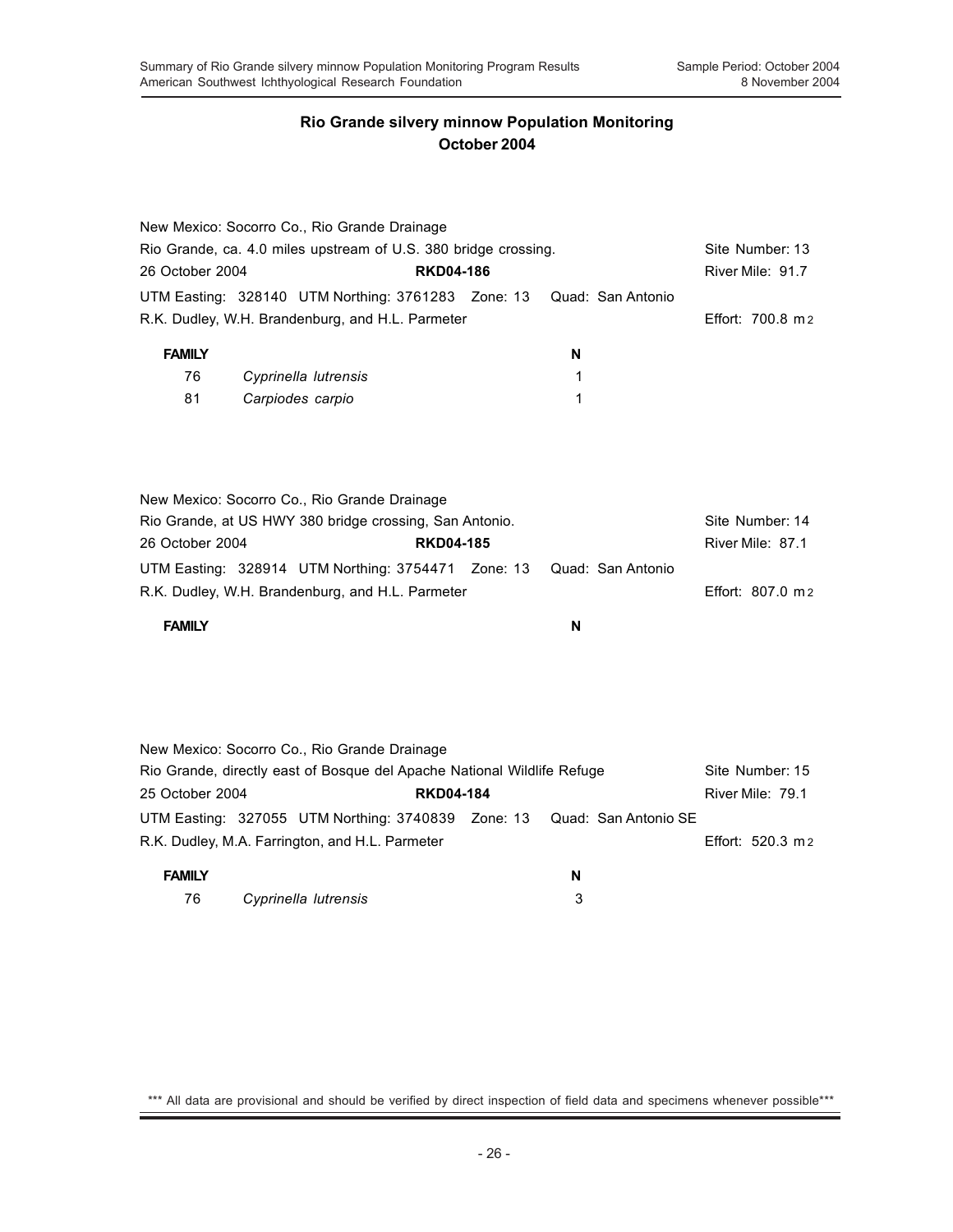|                                                                 | New Mexico: Socorro Co., Rio Grande Drainage                            |                  |                   |                   |
|-----------------------------------------------------------------|-------------------------------------------------------------------------|------------------|-------------------|-------------------|
| Rio Grande, ca. 4.0 miles upstream of U.S. 380 bridge crossing. | Site Number: 13                                                         |                  |                   |                   |
| 26 October 2004                                                 |                                                                         | <b>RKD04-186</b> |                   | River Mile: 91.7  |
|                                                                 | UTM Easting: 328140 UTM Northing: 3761283 Zone: 13                      |                  | Quad: San Antonio |                   |
|                                                                 | R.K. Dudley, W.H. Brandenburg, and H.L. Parmeter                        |                  |                   | Effort: 700.8 m 2 |
| <b>FAMILY</b>                                                   |                                                                         |                  | N                 |                   |
|                                                                 |                                                                         |                  |                   |                   |
| 76                                                              | Cyprinella lutrensis                                                    |                  | 1                 |                   |
| 81                                                              | Carpiodes carpio                                                        |                  | 1                 |                   |
|                                                                 |                                                                         |                  |                   |                   |
|                                                                 | New Mexico: Socorro Co., Rio Grande Drainage                            |                  |                   |                   |
|                                                                 | Rio Grande, at US HWY 380 bridge crossing, San Antonio.                 |                  |                   | Site Number: 14   |
| 26 October 2004                                                 |                                                                         | <b>RKD04-185</b> |                   | River Mile: 87.1  |
|                                                                 | UTM Easting: 328914 UTM Northing: 3754471 Zone: 13                      |                  | Quad: San Antonio |                   |
|                                                                 | R.K. Dudley, W.H. Brandenburg, and H.L. Parmeter                        |                  |                   | Effort: 807.0 m 2 |
| <b>FAMILY</b>                                                   |                                                                         |                  | N                 |                   |
|                                                                 |                                                                         |                  |                   |                   |
|                                                                 |                                                                         |                  |                   |                   |
|                                                                 |                                                                         |                  |                   |                   |
|                                                                 | New Mexico: Socorro Co., Rio Grande Drainage                            |                  |                   |                   |
|                                                                 | Rio Grande, directly east of Bosque del Apache National Wildlife Refuge |                  |                   | Site Number: 15   |
| 25 October 2004 -                                               |                                                                         | DKD04-484        |                   | - Divar Mila 70 1 |

25 October 2004 **RKD04-184** River Mile: 79.1 UTM Easting: 327055 UTM Northing: 3740839 Zone: 13 Quad: San Antonio SE R.K. Dudley, M.A. Farrington, and H.L. Parmeter **Effort: 520.3 m** 2

| <b>FAMILY</b> |                      | N |
|---------------|----------------------|---|
| 76            | Cyprinella lutrensis |   |